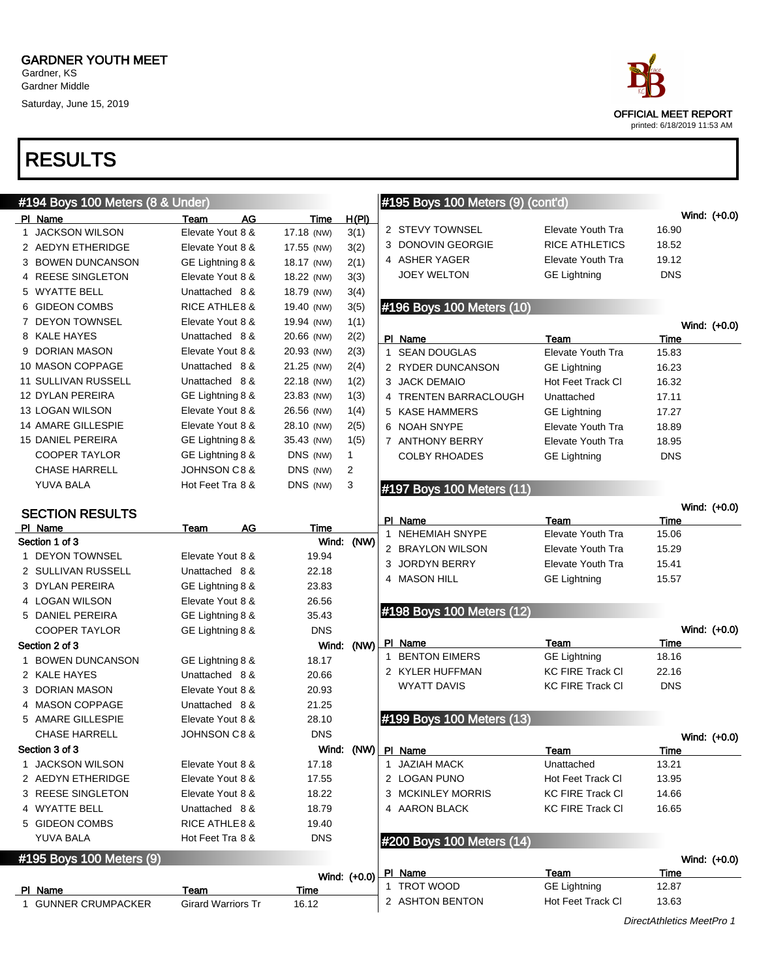Saturday, June 15, 2019

| ace                         |
|-----------------------------|
| OFFICIAL MEET REPORT        |
| printed: 6/18/2019 11:53 AM |

| #194 Boys 100 Meters (8 & Under)  |                           |            |                      | #195 Boys 100 Meters (9) (cont'd) |                          |                               |
|-----------------------------------|---------------------------|------------|----------------------|-----------------------------------|--------------------------|-------------------------------|
| PI Name                           | AG<br>Team                | Time       | H(PI)                |                                   |                          | Wind: (+0.0)                  |
| 1 JACKSON WILSON                  | Elevate Yout 8 &          | 17.18 (NW) | 3(1)                 | 2 STEVY TOWNSEL                   | Elevate Youth Tra        | 16.90                         |
| 2 AEDYN ETHERIDGE                 | Elevate Yout 8 &          | 17.55 (NW) | 3(2)                 | 3 DONOVIN GEORGIE                 | <b>RICE ATHLETICS</b>    | 18.52                         |
| 3 BOWEN DUNCANSON                 | GE Lightning 8 &          | 18.17 (NW) | 2(1)                 | 4 ASHER YAGER                     | Elevate Youth Tra        | 19.12                         |
| 4 REESE SINGLETON                 | Elevate Yout 8 &          | 18.22 (NW) | 3(3)                 | <b>JOEY WELTON</b>                | <b>GE Lightning</b>      | <b>DNS</b>                    |
| 5 WYATTE BELL                     | Unattached 8 &            | 18.79 (NW) | 3(4)                 |                                   |                          |                               |
| 6 GIDEON COMBS                    | <b>RICE ATHLE 8 &amp;</b> | 19.40 (NW) | 3(5)                 | #196 Boys 100 Meters (10)         |                          |                               |
| 7 DEYON TOWNSEL                   | Elevate Yout 8 &          | 19.94 (NW) | 1(1)                 |                                   |                          | Wind: (+0.0)                  |
| 8 KALE HAYES                      | Unattached 8 &            | 20.66 (NW) | 2(2)                 | PI Name                           | Team                     | Time                          |
| 9 DORIAN MASON                    | Elevate Yout 8 &          | 20.93 (NW) | 2(3)                 | 1 SEAN DOUGLAS                    | <b>Elevate Youth Tra</b> | 15.83                         |
| 10 MASON COPPAGE                  | Unattached 8 &            | 21.25 (NW) | 2(4)                 | 2 RYDER DUNCANSON                 | <b>GE Lightning</b>      | 16.23                         |
| <b>11 SULLIVAN RUSSELL</b>        | Unattached 8 &            | 22.18 (NW) | 1(2)                 | 3 JACK DEMAIO                     | Hot Feet Track CI        | 16.32                         |
| <b>12 DYLAN PEREIRA</b>           | GE Lightning 8 &          | 23.83 (NW) | 1(3)                 | 4 TRENTEN BARRACLOUGH             | Unattached               | 17.11                         |
| 13 LOGAN WILSON                   | Elevate Yout 8 &          | 26.56 (NW) | 1(4)                 | 5 KASE HAMMERS                    | <b>GE Lightning</b>      | 17.27                         |
| <b>14 AMARE GILLESPIE</b>         | Elevate Yout 8 &          | 28.10 (NW) | 2(5)                 | 6 NOAH SNYPE                      | Elevate Youth Tra        | 18.89                         |
| <b>15 DANIEL PEREIRA</b>          | GE Lightning 8 &          | 35.43 (NW) | 1(5)                 | 7 ANTHONY BERRY                   | Elevate Youth Tra        | 18.95                         |
| <b>COOPER TAYLOR</b>              | GE Lightning 8 &          | DNS (NW)   | 1                    | <b>COLBY RHOADES</b>              | <b>GE Lightning</b>      | <b>DNS</b>                    |
| <b>CHASE HARRELL</b>              | <b>JOHNSON C8 &amp;</b>   | DNS (NW)   | 2                    |                                   |                          |                               |
| YUVA BALA                         | Hot Feet Tra 8 &          | DNS (NW)   | 3                    | #197 Boys 100 Meters (11)         |                          |                               |
|                                   |                           |            |                      |                                   |                          | Wind: (+0.0)                  |
| <b>SECTION RESULTS</b><br>PI Name | <b>AG</b>                 | Time       |                      | PI Name                           | Team                     | Time                          |
| Section 1 of 3                    | Team                      |            | Wind: (NW)           | 1 NEHEMIAH SNYPE                  | Elevate Youth Tra        | 15.06                         |
| 1 DEYON TOWNSEL                   | Elevate Yout 8 &          | 19.94      |                      | 2 BRAYLON WILSON                  | Elevate Youth Tra        | 15.29                         |
| 2 SULLIVAN RUSSELL                | Unattached 8 &            | 22.18      |                      | 3 JORDYN BERRY                    | Elevate Youth Tra        | 15.41                         |
| 3 DYLAN PEREIRA                   | GE Lightning 8 &          | 23.83      |                      | 4 MASON HILL                      | <b>GE Lightning</b>      | 15.57                         |
| 4 LOGAN WILSON                    | Elevate Yout 8 &          | 26.56      |                      |                                   |                          |                               |
| 5 DANIEL PEREIRA                  | GE Lightning 8 &          | 35.43      |                      | #198 Boys 100 Meters (12)         |                          |                               |
| <b>COOPER TAYLOR</b>              | GE Lightning 8 &          | <b>DNS</b> |                      |                                   |                          | Wind: (+0.0)                  |
| Section 2 of 3                    |                           | Wind:      | (NW)                 | PI Name                           | Team                     | Time                          |
| <b>BOWEN DUNCANSON</b><br>1       | GE Lightning 8 &          | 18.17      |                      | 1 BENTON EIMERS                   | <b>GE Lightning</b>      | 18.16                         |
| 2 KALE HAYES                      | Unattached 8 &            | 20.66      |                      | 2 KYLER HUFFMAN                   | <b>KC FIRE Track CI</b>  | 22.16                         |
| 3 DORIAN MASON                    | Elevate Yout 8 &          | 20.93      |                      | <b>WYATT DAVIS</b>                | <b>KC FIRE Track CI</b>  | <b>DNS</b>                    |
| 4 MASON COPPAGE                   | Unattached 8 &            | 21.25      |                      |                                   |                          |                               |
| 5 AMARE GILLESPIE                 | Elevate Yout 8 &          | 28.10      |                      | #199 Boys 100 Meters (13)         |                          |                               |
| <b>CHASE HARRELL</b>              | <b>JOHNSON C8 &amp;</b>   | <b>DNS</b> |                      |                                   |                          |                               |
| Section 3 of 3                    |                           |            | Wind: (NW)   PI Name |                                   | Team                     | Wind: $(+0.0)$<br><b>Time</b> |
| 1 JACKSON WILSON                  | Elevate Yout 8 &          | 17.18      |                      | 1 JAZIAH MACK                     | Unattached               | 13.21                         |
| 2 AEDYN ETHERIDGE                 | Elevate Yout 8 &          | 17.55      |                      | 2 LOGAN PUNO                      | Hot Feet Track CI        | 13.95                         |
| 3 REESE SINGLETON                 | Elevate Yout 8 &          | 18.22      |                      | 3 MCKINLEY MORRIS                 | <b>KC FIRE Track CI</b>  | 14.66                         |
| 4 WYATTE BELL                     | Unattached 8 &            | 18.79      |                      | 4 AARON BLACK                     | <b>KC FIRE Track CI</b>  | 16.65                         |
| 5 GIDEON COMBS                    | RICE ATHLE 8 &            | 19.40      |                      |                                   |                          |                               |
| YUVA BALA                         | Hot Feet Tra 8 &          | <b>DNS</b> |                      | #200 Boys 100 Meters (14)         |                          |                               |
| #195 Boys 100 Meters (9)          |                           |            |                      |                                   |                          | Wind: (+0.0)                  |
|                                   |                           |            | Wind: (+0.0)         | <b>PI</b> Name                    | Team                     | Time                          |
| PI Name                           | Team                      | Time       |                      | 1 TROT WOOD                       | <b>GE Lightning</b>      | 12.87                         |
| 1 GUNNER CRUMPACKER               | <b>Girard Warriors Tr</b> | 16.12      |                      | 2 ASHTON BENTON                   | Hot Feet Track CI        | 13.63                         |
|                                   |                           |            |                      |                                   |                          |                               |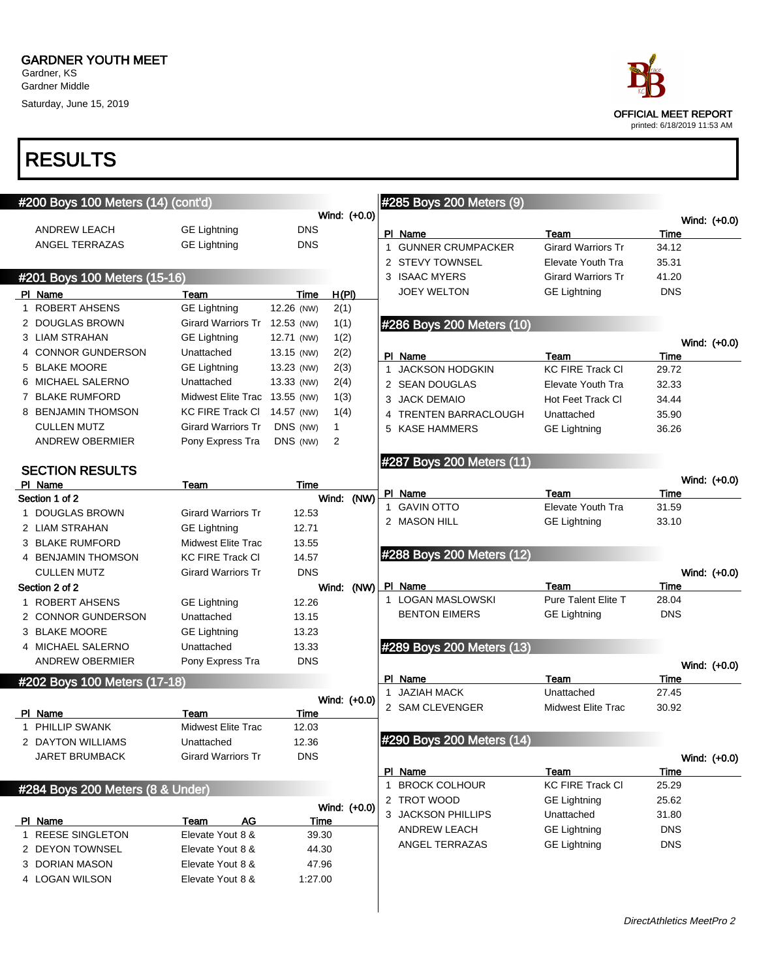Gardner, KS Gardner Middle Saturday, June 15, 2019

| race                                                |
|-----------------------------------------------------|
| OFFICIAL MEET REPORT<br>printed: 6/18/2019 11:53 AM |

| #200 Boys 100 Meters (14) (cont'd) |                               |            |              |      |              | #285 Boys 200 Meters (9)  |                            |               |                |
|------------------------------------|-------------------------------|------------|--------------|------|--------------|---------------------------|----------------------------|---------------|----------------|
|                                    |                               |            | Wind: (+0.0) |      |              |                           |                            |               | Wind: (+0.0)   |
| <b>ANDREW LEACH</b>                | <b>GE Lightning</b>           | <b>DNS</b> |              |      |              | PI Name                   | Team                       | Time          |                |
| ANGEL TERRAZAS                     | <b>GE Lightning</b>           | <b>DNS</b> |              |      | $\mathbf{1}$ | <b>GUNNER CRUMPACKER</b>  | <b>Girard Warriors Tr</b>  | 34.12         |                |
|                                    |                               |            |              |      |              | 2 STEVY TOWNSEL           | Elevate Youth Tra          | 35.31         |                |
| #201 Boys 100 Meters (15-16)       |                               |            |              |      |              | 3 ISAAC MYERS             | <b>Girard Warriors Tr</b>  | 41.20         |                |
| PI Name                            | Team                          | Time       | H(PI)        |      |              | JOEY WELTON               | <b>GE Lightning</b>        | <b>DNS</b>    |                |
| 1 ROBERT AHSENS                    | <b>GE Lightning</b>           | 12.26 (NW) | 2(1)         |      |              |                           |                            |               |                |
| 2 DOUGLAS BROWN                    | <b>Girard Warriors Tr</b>     | 12.53 (NW) | 1(1)         |      |              | #286 Boys 200 Meters (10) |                            |               |                |
| 3 LIAM STRAHAN                     | <b>GE Lightning</b>           | 12.71 (NW) | 1(2)         |      |              |                           |                            |               |                |
| 4 CONNOR GUNDERSON                 | Unattached                    | 13.15 (NW) | 2(2)         |      |              | PI Name                   | Team                       |               | Wind: (+0.0)   |
| 5 BLAKE MOORE                      | <b>GE Lightning</b>           | 13.23 (NW) | 2(3)         |      |              | 1 JACKSON HODGKIN         | <b>KC FIRE Track CI</b>    | Time<br>29.72 |                |
| 6 MICHAEL SALERNO                  | Unattached                    | 13.33 (NW) | 2(4)         |      |              | 2 SEAN DOUGLAS            | <b>Elevate Youth Tra</b>   | 32.33         |                |
| 7 BLAKE RUMFORD                    | Midwest Elite Trac 13.55 (NW) |            | 1(3)         |      |              | 3 JACK DEMAIO             | Hot Feet Track CI          | 34.44         |                |
| 8 BENJAMIN THOMSON                 | <b>KC FIRE Track CI</b>       | 14.57 (NW) | 1(4)         |      |              | TRENTEN BARRACLOUGH       | Unattached                 | 35.90         |                |
| <b>CULLEN MUTZ</b>                 | <b>Girard Warriors Tr</b>     | DNS (NW)   | 1            |      | 5            | <b>KASE HAMMERS</b>       | <b>GE Lightning</b>        | 36.26         |                |
| <b>ANDREW OBERMIER</b>             | Pony Express Tra              | DNS (NW)   | 2            |      |              |                           |                            |               |                |
|                                    |                               |            |              |      |              | #287 Boys 200 Meters (11) |                            |               |                |
| <b>SECTION RESULTS</b>             |                               |            |              |      |              |                           |                            |               |                |
| PI Name                            | Team                          | Time       |              |      |              | PI Name                   | Team                       | Time          | Wind: (+0.0)   |
| Section 1 of 2                     |                               |            | Wind: (NW)   |      |              | 1 GAVIN OTTO              | Elevate Youth Tra          | 31.59         |                |
| DOUGLAS BROWN                      | <b>Girard Warriors Tr</b>     | 12.53      |              |      |              | 2 MASON HILL              | <b>GE Lightning</b>        | 33.10         |                |
| 2 LIAM STRAHAN                     | <b>GE Lightning</b>           | 12.71      |              |      |              |                           |                            |               |                |
| 3 BLAKE RUMFORD                    | Midwest Elite Trac            | 13.55      |              |      |              |                           |                            |               |                |
| 4 BENJAMIN THOMSON                 | <b>KC FIRE Track CI</b>       | 14.57      |              |      |              | #288 Boys 200 Meters (12) |                            |               |                |
| <b>CULLEN MUTZ</b>                 | <b>Girard Warriors Tr</b>     | <b>DNS</b> |              |      |              |                           |                            |               | Wind: (+0.0)   |
| Section 2 of 2                     |                               |            | Wind:        | (NW) |              | PI Name                   | Team                       | Time          |                |
| ROBERT AHSENS                      | <b>GE Lightning</b>           | 12.26      |              |      |              | 1 LOGAN MASLOWSKI         | <b>Pure Talent Elite T</b> | 28.04         |                |
| 2 CONNOR GUNDERSON                 | Unattached                    | 13.15      |              |      |              | <b>BENTON EIMERS</b>      | <b>GE Lightning</b>        | <b>DNS</b>    |                |
| 3 BLAKE MOORE                      | <b>GE Lightning</b>           | 13.23      |              |      |              |                           |                            |               |                |
| 4 MICHAEL SALERNO                  | Unattached                    | 13.33      |              |      |              | #289 Boys 200 Meters (13) |                            |               |                |
| <b>ANDREW OBERMIER</b>             | Pony Express Tra              | <b>DNS</b> |              |      |              |                           |                            |               | Wind: (+0.0)   |
| #202 Boys 100 Meters (17-18)       |                               |            |              |      |              | PI Name                   | Team                       | Time          |                |
|                                    |                               |            | Wind: (+0.0) |      |              | 1 JAZIAH MACK             | Unattached                 | 27.45         |                |
| PI Name                            | Team                          | Time       |              |      |              | 2 SAM CLEVENGER           | <b>Midwest Elite Trac</b>  | 30.92         |                |
| 1 PHILLIP SWANK                    | Midwest Elite Trac            | 12.03      |              |      |              |                           |                            |               |                |
| 2 DAYTON WILLIAMS                  | Unattached                    | 12.36      |              |      |              | #290 Boys 200 Meters (14) |                            |               |                |
| <b>JARET BRUMBACK</b>              | <b>Girard Warriors Tr</b>     | <b>DNS</b> |              |      |              |                           |                            |               | Wind: $(+0.0)$ |
|                                    |                               |            |              |      |              | PI Name                   | Team                       | Time          |                |
| #284 Boys 200 Meters (8 & Under)   |                               |            |              |      |              | 1 BROCK COLHOUR           | KC FIRE Track CI           | 25.29         |                |
|                                    |                               |            | Wind: (+0.0) |      |              | 2 TROT WOOD               | <b>GE Lightning</b>        | 25.62         |                |
| PI Name                            | AG<br>Team                    | Time       |              |      |              | 3 JACKSON PHILLIPS        | Unattached                 | 31.80         |                |
| 1 REESE SINGLETON                  | Elevate Yout 8 &              | 39.30      |              |      |              | <b>ANDREW LEACH</b>       | <b>GE Lightning</b>        | <b>DNS</b>    |                |
| 2 DEYON TOWNSEL                    | Elevate Yout 8 &              | 44.30      |              |      |              | ANGEL TERRAZAS            | <b>GE Lightning</b>        | <b>DNS</b>    |                |
| 3 DORIAN MASON                     | Elevate Yout 8 &              | 47.96      |              |      |              |                           |                            |               |                |
| 4 LOGAN WILSON                     | Elevate Yout 8 &              | 1:27.00    |              |      |              |                           |                            |               |                |
|                                    |                               |            |              |      |              |                           |                            |               |                |
|                                    |                               |            |              |      |              |                           |                            |               |                |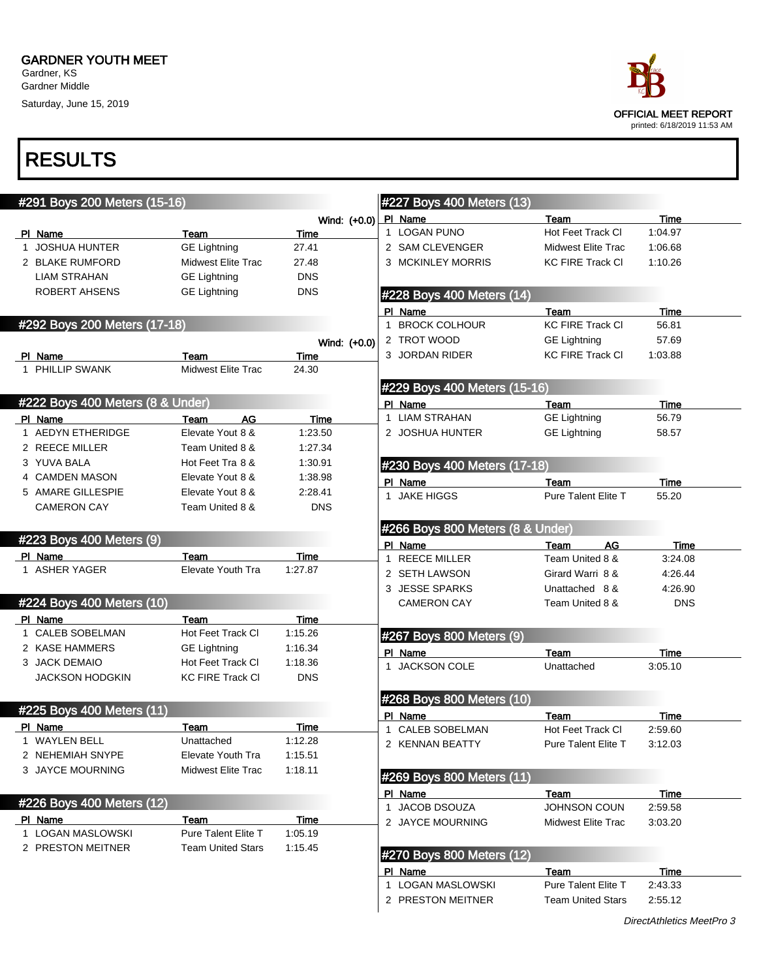Gardner Middle Saturday, June 15, 2019



|                          | #291 Boys 200 Meters (15-16)     |                            |                        | #227 Boys 400 Meters (13)        |                               |                 |  |
|--------------------------|----------------------------------|----------------------------|------------------------|----------------------------------|-------------------------------|-----------------|--|
|                          |                                  |                            | Wind: $(+0.0)$ PI Name |                                  | Team                          | <b>Time</b>     |  |
| PI Name                  |                                  | Team                       | Time                   | 1 LOGAN PUNO                     | Hot Feet Track CI             | 1:04.97         |  |
| 1 JOSHUA HUNTER          |                                  | <b>GE Lightning</b>        | 27.41                  | 2 SAM CLEVENGER                  | Midwest Elite Trac            | 1:06.68         |  |
| 2 BLAKE RUMFORD          |                                  | Midwest Elite Trac         | 27.48                  | 3 MCKINLEY MORRIS                | <b>KC FIRE Track CI</b>       | 1:10.26         |  |
| <b>LIAM STRAHAN</b>      |                                  | <b>GE Lightning</b>        | <b>DNS</b>             |                                  |                               |                 |  |
| <b>ROBERT AHSENS</b>     |                                  | <b>GE Lightning</b>        | <b>DNS</b>             | #228 Boys 400 Meters (14)        |                               |                 |  |
|                          |                                  |                            |                        | PI Name                          | Team                          | Time            |  |
|                          | #292 Boys 200 Meters (17-18)     |                            |                        | 1 BROCK COLHOUR                  | <b>KC FIRE Track CI</b>       | 56.81           |  |
|                          |                                  |                            | Wind: (+0.0)           | 2 TROT WOOD                      | <b>GE Lightning</b>           | 57.69           |  |
| PI Name                  |                                  | Team                       | Time                   | 3 JORDAN RIDER                   | <b>KC FIRE Track CI</b>       | 1:03.88         |  |
| 1 PHILLIP SWANK          |                                  | <b>Midwest Elite Trac</b>  | 24.30                  |                                  |                               |                 |  |
|                          |                                  |                            |                        | #229 Boys 400 Meters (15-16)     |                               |                 |  |
|                          | #222 Boys 400 Meters (8 & Under) |                            |                        | PI Name                          | Team                          | <b>Time</b>     |  |
| PI Name                  |                                  | AG<br>Team                 | Time                   | 1 LIAM STRAHAN                   | <b>GE Lightning</b>           | 56.79           |  |
| 1 AEDYN ETHERIDGE        |                                  | Elevate Yout 8 &           | 1:23.50                | 2 JOSHUA HUNTER                  | <b>GE Lightning</b>           | 58.57           |  |
| 2 REECE MILLER           |                                  | Team United 8 &            | 1:27.34                |                                  |                               |                 |  |
| 3 YUVA BALA              |                                  | Hot Feet Tra 8 &           | 1:30.91                | #230 Boys 400 Meters (17-18)     |                               |                 |  |
| 4 CAMDEN MASON           |                                  | Elevate Yout 8 &           | 1:38.98                |                                  |                               |                 |  |
| 5 AMARE GILLESPIE        |                                  | Elevate Yout 8 &           | 2:28.41                | PI Name<br>1 JAKE HIGGS          | Team<br>Pure Talent Elite T   | Time            |  |
| <b>CAMERON CAY</b>       |                                  | Team United 8 &            | <b>DNS</b>             |                                  |                               | 55.20           |  |
|                          |                                  |                            |                        |                                  |                               |                 |  |
|                          | #223 Boys 400 Meters (9)         |                            |                        | #266 Boys 800 Meters (8 & Under) |                               |                 |  |
| PI Name                  |                                  | Team                       | Time                   | PI Name<br>1 REECE MILLER        | AG<br>Team<br>Team United 8 & | Time<br>3:24.08 |  |
| 1 ASHER YAGER            |                                  | <b>Elevate Youth Tra</b>   | 1:27.87                | 2 SETH LAWSON                    | Girard Warri 8 &              | 4:26.44         |  |
|                          |                                  |                            |                        | 3 JESSE SPARKS                   | Unattached 8 &                | 4:26.90         |  |
|                          | #224 Boys 400 Meters (10)        |                            |                        | <b>CAMERON CAY</b>               | Team United 8 &               | <b>DNS</b>      |  |
| PI Name                  |                                  | Team                       | <b>Time</b>            |                                  |                               |                 |  |
| 1 CALEB SOBELMAN         |                                  | Hot Feet Track CI          | 1:15.26                |                                  |                               |                 |  |
| 2 KASE HAMMERS           |                                  | <b>GE Lightning</b>        | 1:16.34                | #267 Boys 800 Meters (9)         |                               |                 |  |
| 3 JACK DEMAIO            |                                  | Hot Feet Track CI          | 1:18.36                | PI Name                          | Team                          | <b>Time</b>     |  |
| <b>JACKSON HODGKIN</b>   |                                  | <b>KC FIRE Track CI</b>    | <b>DNS</b>             | 1 JACKSON COLE                   | Unattached                    | 3:05.10         |  |
|                          |                                  |                            |                        |                                  |                               |                 |  |
|                          | #225 Boys 400 Meters (11)        |                            |                        | #268 Boys 800 Meters (10)        |                               |                 |  |
|                          |                                  |                            |                        | PI Name                          | Team                          | Time            |  |
| PI Name<br>1 WAYLEN BELL |                                  | Team<br>Unattached         | Time<br>1:12.28        | 1 CALEB SOBELMAN                 | Hot Feet Track CI             | 2:59.60         |  |
| 2 NEHEMIAH SNYPE         |                                  | Elevate Youth Tra          |                        | 2 KENNAN BEATTY                  | Pure Talent Elite T           | 3:12.03         |  |
| 3 JAYCE MOURNING         |                                  | <b>Midwest Elite Trac</b>  | 1:15.51<br>1:18.11     |                                  |                               |                 |  |
|                          |                                  |                            |                        | #269 Boys 800 Meters (11)        |                               |                 |  |
|                          |                                  |                            |                        | PI Name                          | Team                          | Time            |  |
|                          | #226 Boys 400 Meters (12)        |                            |                        | 1 JACOB DSOUZA                   | JOHNSON COUN                  | 2:59.58         |  |
| PI Name                  |                                  | Team                       | <b>Time</b>            | 2 JAYCE MOURNING                 | Midwest Elite Trac            | 3:03.20         |  |
| 1 LOGAN MASLOWSKI        |                                  | <b>Pure Talent Elite T</b> | 1:05.19                |                                  |                               |                 |  |
| 2 PRESTON MEITNER        |                                  | <b>Team United Stars</b>   | 1:15.45                | #270 Boys 800 Meters (12)        |                               |                 |  |
|                          |                                  |                            |                        | PI Name                          | Team                          | Time            |  |
|                          |                                  |                            |                        | 1 LOGAN MASLOWSKI                | <b>Pure Talent Elite T</b>    | 2:43.33         |  |
|                          |                                  |                            |                        | 2 PRESTON MEITNER                | <b>Team United Stars</b>      | 2:55.12         |  |
|                          |                                  |                            |                        |                                  |                               |                 |  |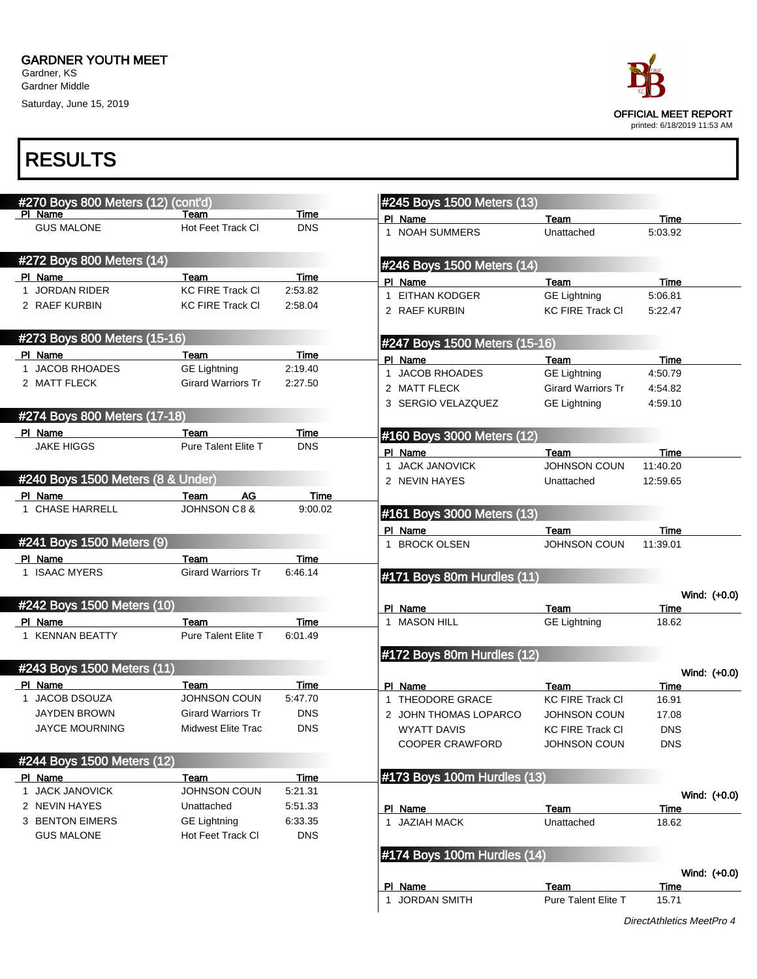Saturday, June 15, 2019



| #270 Boys 800 Meters (12) (cont'd) |                            |            |              | #245 Boys 1500 Meters (13)    |                           |                      |
|------------------------------------|----------------------------|------------|--------------|-------------------------------|---------------------------|----------------------|
| PI Name                            | Team                       | Time       |              | PI Name                       | Team                      | <b>Time</b>          |
| <b>GUS MALONE</b>                  | Hot Feet Track CI          | <b>DNS</b> |              | 1 NOAH SUMMERS                | Unattached                | 5:03.92              |
| #272 Boys 800 Meters (14)          |                            |            |              | #246 Boys 1500 Meters (14)    |                           |                      |
| PI Name                            | Team                       | Time       |              | PI Name                       | Team                      | Time                 |
| 1 JORDAN RIDER                     | <b>KC FIRE Track CI</b>    | 2:53.82    |              | 1 EITHAN KODGER               | <b>GE Lightning</b>       | 5:06.81              |
| 2 RAEF KURBIN                      | <b>KC FIRE Track CI</b>    | 2:58.04    |              | 2 RAEF KURBIN                 | <b>KC FIRE Track CI</b>   | 5:22.47              |
| #273 Boys 800 Meters (15-16)       |                            |            |              | #247 Boys 1500 Meters (15-16) |                           |                      |
| PI Name                            | Team                       | Time       |              | PI Name                       | Team                      | <b>Time</b>          |
| 1 JACOB RHOADES                    | <b>GE Lightning</b>        | 2:19.40    | $\mathbf{1}$ | JACOB RHOADES                 | <b>GE Lightning</b>       | 4:50.79              |
| 2 MATT FLECK                       | <b>Girard Warriors Tr</b>  | 2:27.50    |              | 2 MATT FLECK                  | <b>Girard Warriors Tr</b> | 4:54.82              |
|                                    |                            |            |              | 3 SERGIO VELAZQUEZ            | <b>GE Lightning</b>       | 4:59.10              |
| #274 Boys 800 Meters (17-18)       |                            |            |              |                               |                           |                      |
| PI Name                            | Team                       | Time       |              | #160 Boys 3000 Meters (12)    |                           |                      |
| <b>JAKE HIGGS</b>                  | <b>Pure Talent Elite T</b> | <b>DNS</b> |              | PI Name                       | Team                      | Time                 |
|                                    |                            |            |              | 1 JACK JANOVICK               | <b>JOHNSON COUN</b>       | 11:40.20             |
| #240 Boys 1500 Meters (8 & Under)  |                            |            |              | 2 NEVIN HAYES                 | Unattached                | 12:59.65             |
| PI Name                            | AG<br>Team                 | Time       |              |                               |                           |                      |
| 1 CHASE HARRELL                    | <b>JOHNSON C8 &amp;</b>    | 9:00.02    |              | #161 Boys 3000 Meters (13)    |                           |                      |
|                                    |                            |            |              |                               |                           |                      |
| #241 Boys 1500 Meters (9)          |                            |            |              | PI Name                       | Team                      | Time<br>11:39.01     |
|                                    |                            |            |              | 1 BROCK OLSEN                 | <b>JOHNSON COUN</b>       |                      |
| PI Name                            | Team                       | Time       |              |                               |                           |                      |
| 1 ISAAC MYERS                      | <b>Girard Warriors Tr</b>  | 6:46.14    |              | #171 Boys 80m Hurdles (11)    |                           |                      |
| #242 Boys 1500 Meters (10)         |                            |            |              |                               |                           | Wind: $(+0.0)$       |
|                                    |                            |            |              | PI Name                       | Team                      | Time                 |
| PI Name                            | Team                       | Time       |              | 1 MASON HILL                  | <b>GE Lightning</b>       | 18.62                |
| 1 KENNAN BEATTY                    | Pure Talent Elite T        | 6:01.49    |              |                               |                           |                      |
|                                    |                            |            |              | #172 Boys 80m Hurdles (12)    |                           |                      |
| #243 Boys 1500 Meters (11)         |                            |            |              |                               |                           | Wind: $(+0.0)$       |
| PI Name                            | Team                       | Time       |              | PI Name                       | Team                      | Time                 |
| 1 JACOB DSOUZA                     | JOHNSON COUN               | 5:47.70    |              | 1 THEODORE GRACE              | <b>KC FIRE Track CI</b>   | 16.91                |
| <b>JAYDEN BROWN</b>                | <b>Girard Warriors Tr</b>  | <b>DNS</b> |              | 2 JOHN THOMAS LOPARCO         | <b>JOHNSON COUN</b>       | 17.08                |
| <b>JAYCE MOURNING</b>              | Midwest Elite Trac         | <b>DNS</b> |              | WYATT DAVIS                   | <b>KC FIRE Track CI</b>   | <b>DNS</b>           |
|                                    |                            |            |              | COOPER CRAWFORD               | JOHNSON COUN              | <b>DNS</b>           |
| #244 Boys 1500 Meters (12)         |                            |            |              |                               |                           |                      |
| PI Name                            | Team                       | Time       |              | #173 Boys 100m Hurdles (13)   |                           |                      |
| 1 JACK JANOVICK                    | JOHNSON COUN               | 5:21.31    |              |                               |                           | Wind: (+0.0)         |
| 2 NEVIN HAYES                      | Unattached                 | 5:51.33    |              | PI Name                       | Team                      | Time                 |
| 3 BENTON EIMERS                    | <b>GE Lightning</b>        | 6.33.35    |              | 1 JAZIAH MACK                 | Unattached                | 18.62                |
| <b>GUS MALONE</b>                  | Hot Feet Track CI          | <b>DNS</b> |              |                               |                           |                      |
|                                    |                            |            |              | #174 Boys 100m Hurdles (14)   |                           |                      |
|                                    |                            |            |              |                               |                           |                      |
|                                    |                            |            |              | PI Name                       | Team                      | Wind: (+0.0)<br>Time |
|                                    |                            |            |              | 1 JORDAN SMITH                | Pure Talent Elite T       | 15.71                |
|                                    |                            |            |              |                               |                           |                      |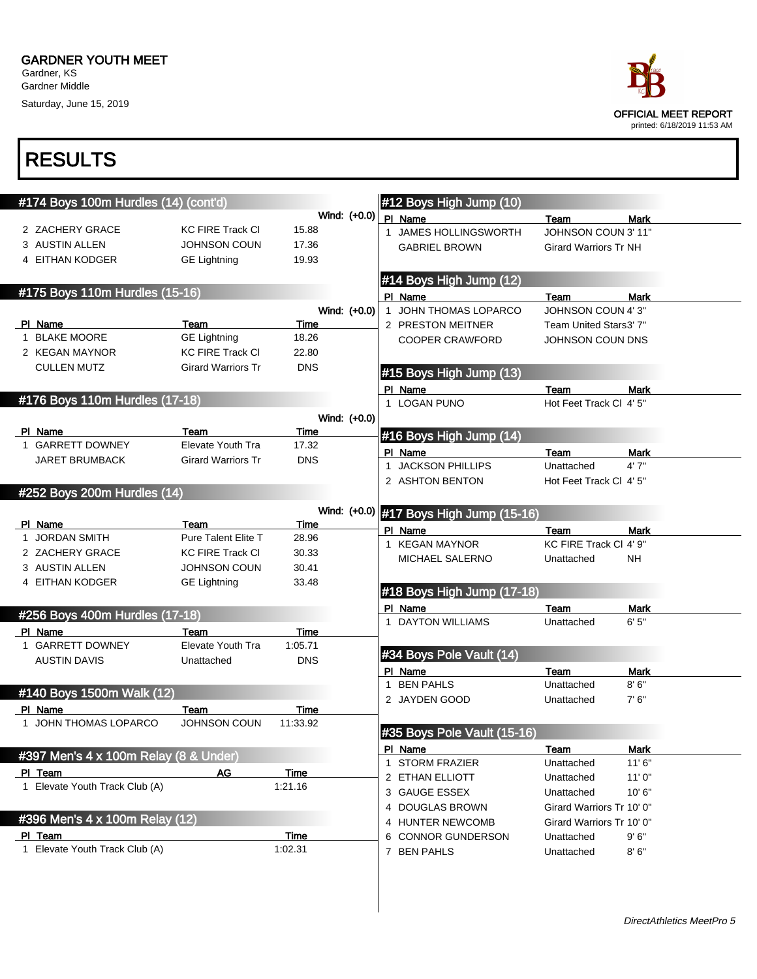Saturday, June 15, 2019

| ace:                        |
|-----------------------------|
| OFFICIAL MEET REPORT        |
| printed: 6/18/2019 11:53 AM |

| #174 Boys 100m Hurdles (14) (cont'd)  |                                  |               |              |   | #12 Boys High Jump (10)                 |                              |             |
|---------------------------------------|----------------------------------|---------------|--------------|---|-----------------------------------------|------------------------------|-------------|
|                                       |                                  |               | Wind: (+0.0) |   | PI Name                                 | Team                         | <b>Mark</b> |
| 2 ZACHERY GRACE                       | <b>KC FIRE Track CI</b>          | 15.88         |              |   | 1 JAMES HOLLINGSWORTH                   | JOHNSON COUN 3' 11"          |             |
| 3 AUSTIN ALLEN                        | <b>JOHNSON COUN</b>              | 17.36         |              |   | <b>GABRIEL BROWN</b>                    | <b>Girard Warriors Tr NH</b> |             |
| 4 EITHAN KODGER                       | <b>GE Lightning</b>              | 19.93         |              |   |                                         |                              |             |
|                                       |                                  |               |              |   | #14 Boys High Jump (12)                 |                              |             |
| #175 Boys 110m Hurdles (15-16)        |                                  |               |              |   | PI Name                                 | Team                         | Mark        |
|                                       |                                  |               | Wind: (+0.0) |   | 1 JOHN THOMAS LOPARCO                   | JOHNSON COUN 4'3"            |             |
| PI Name                               | Team                             | Time          |              |   | 2 PRESTON MEITNER                       | Team United Stars3' 7"       |             |
| 1 BLAKE MOORE                         | <b>GE Lightning</b>              | 18.26         |              |   | <b>COOPER CRAWFORD</b>                  | JOHNSON COUN DNS             |             |
| 2 KEGAN MAYNOR                        | <b>KC FIRE Track CI</b>          | 22.80         |              |   |                                         |                              |             |
| <b>CULLEN MUTZ</b>                    | <b>Girard Warriors Tr</b>        | <b>DNS</b>    |              |   | #15 Boys High Jump (13)                 |                              |             |
|                                       |                                  |               |              |   |                                         |                              |             |
| #176 Boys 110m Hurdles (17-18)        |                                  |               |              |   | PI Name                                 | Team                         | <b>Mark</b> |
|                                       |                                  |               |              |   | 1 LOGAN PUNO                            | Hot Feet Track Cl 4' 5"      |             |
|                                       |                                  |               | Wind: (+0.0) |   |                                         |                              |             |
| PI Name<br>1 GARRETT DOWNEY           | Team<br><b>Elevate Youth Tra</b> | Time<br>17.32 |              |   | #16 Boys High Jump (14)                 |                              |             |
| <b>JARET BRUMBACK</b>                 | <b>Girard Warriors Tr</b>        | <b>DNS</b>    |              |   | PI Name                                 | Team                         | Mark        |
|                                       |                                  |               |              |   | 1 JACKSON PHILLIPS                      | Unattached                   | 4'7''       |
|                                       |                                  |               |              |   | 2 ASHTON BENTON                         | Hot Feet Track Cl 4' 5"      |             |
| #252 Boys 200m Hurdles (14)           |                                  |               |              |   |                                         |                              |             |
|                                       |                                  |               |              |   | Wind: (+0.0) #17 Boys High Jump (15-16) |                              |             |
| PI Name                               | Team                             | Time          |              |   | PI Name                                 | Team                         | <b>Mark</b> |
| 1 JORDAN SMITH                        | Pure Talent Elite T              | 28.96         |              |   | 1 KEGAN MAYNOR                          | KC FIRE Track CI 4' 9"       |             |
| 2 ZACHERY GRACE                       | <b>KC FIRE Track CI</b>          | 30.33         |              |   | MICHAEL SALERNO                         | Unattached                   | <b>NH</b>   |
| 3 AUSTIN ALLEN                        | <b>JOHNSON COUN</b>              | 30.41         |              |   |                                         |                              |             |
| 4 EITHAN KODGER                       | <b>GE Lightning</b>              | 33.48         |              |   | #18 Boys High Jump (17-18)              |                              |             |
|                                       |                                  |               |              |   |                                         |                              |             |
| #256 Boys 400m Hurdles (17-18)        |                                  |               |              |   | PI Name                                 | Team                         | Mark        |
| PI Name                               | Team                             | Time          |              |   | 1 DAYTON WILLIAMS                       | Unattached                   | 6'5''       |
| 1 GARRETT DOWNEY                      | Elevate Youth Tra                | 1:05.71       |              |   |                                         |                              |             |
| <b>AUSTIN DAVIS</b>                   | Unattached                       | <b>DNS</b>    |              |   | #34 Boys Pole Vault (14)                |                              |             |
|                                       |                                  |               |              |   | PI Name                                 | Team                         | Mark        |
| #140 Boys 1500m Walk (12)             |                                  |               |              |   | 1 BEN PAHLS                             | Unattached                   | 8'6''       |
| PI Name                               | Team                             | Time          |              |   | 2 JAYDEN GOOD                           | Unattached                   | 7' 6''      |
| 1 JOHN THOMAS LOPARCO                 | JOHNSON COUN                     | 11:33.92      |              |   |                                         |                              |             |
|                                       |                                  |               |              |   | #35 Boys Pole Vault (15-16)             |                              |             |
|                                       |                                  |               |              |   | PI Name                                 | Team                         | <b>Mark</b> |
| #397 Men's 4 x 100m Relay (8 & Under) |                                  |               |              |   | 1 STORM FRAZIER                         | Unattached                   | 11'6"       |
| PI Team                               | AG                               | Time          |              |   | 2 ETHAN ELLIOTT                         | Unattached                   | 11'0''      |
| 1 Elevate Youth Track Club (A)        |                                  | 1.21.16       |              |   | 3 GAUGE ESSEX                           | Unattached                   | 10'6"       |
|                                       |                                  |               |              |   | <b>DOUGLAS BROWN</b>                    | Girard Warriors Tr 10' 0"    |             |
| #396 Men's 4 x 100m Relay (12)        |                                  |               |              | 4 | <b>HUNTER NEWCOMB</b>                   | Girard Warriors Tr 10' 0"    |             |
| PI Team                               |                                  | <b>Time</b>   |              |   | <b>CONNOR GUNDERSON</b>                 | Unattached                   | 9'6''       |
| 1 Elevate Youth Track Club (A)        |                                  | 1:02.31       |              |   | 7 BEN PAHLS                             | Unattached                   | 8'6''       |
|                                       |                                  |               |              |   |                                         |                              |             |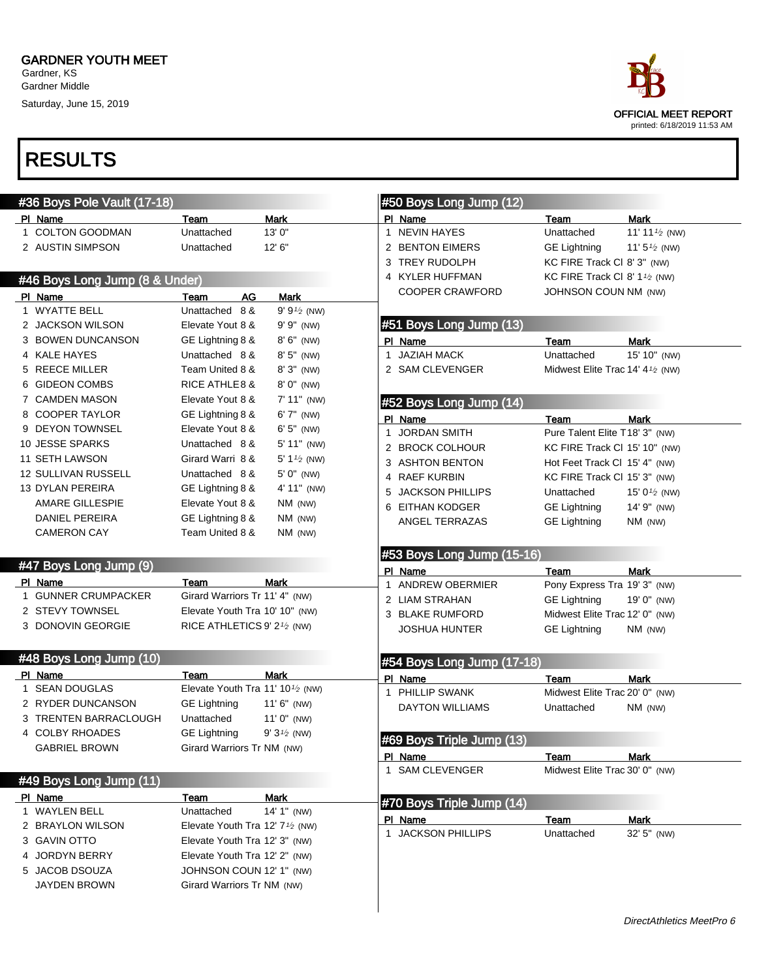Saturday, June 15, 2019



| #36 Boys Pole Vault (17-18)                                                             |                                                           |                        |             | #50 Boys Long Jump (12)           |                                            |                           |
|-----------------------------------------------------------------------------------------|-----------------------------------------------------------|------------------------|-------------|-----------------------------------|--------------------------------------------|---------------------------|
| PI Name                                                                                 | Team                                                      | Mark                   |             | PI Name                           | Team                                       | <b>Mark</b>               |
| 1 COLTON GOODMAN                                                                        | Unattached                                                | 13'0''                 |             | 1 NEVIN HAYES                     | Unattached                                 | 11' 11 $\frac{1}{2}$ (NW) |
| 2 AUSTIN SIMPSON                                                                        | Unattached                                                | 12'6''                 |             | 2 BENTON EIMERS                   | <b>GE Lightning</b>                        | 11' $5\frac{1}{2}$ (NW)   |
|                                                                                         |                                                           |                        |             | 3 TREY RUDOLPH                    | KC FIRE Track CI 8' 3" (NW)                |                           |
| #46 Boys Long Jump (8 & Under)                                                          |                                                           |                        |             | 4 KYLER HUFFMAN                   | KC FIRE Track CI 8' 1 <sup>1</sup> /2 (NW) |                           |
| PI Name                                                                                 | AG<br>Team                                                | <b>Mark</b>            |             | <b>COOPER CRAWFORD</b>            | <b>JOHNSON COUN NM (NW)</b>                |                           |
| 1 WYATTE BELL                                                                           | Unattached 8 &                                            | $9' 9'2$ (NW)          |             |                                   |                                            |                           |
| 2 JACKSON WILSON                                                                        | Elevate Yout 8 &                                          | 9' 9" (NW)             |             | #51 Boys Long Jump (13)           |                                            |                           |
| 3 BOWEN DUNCANSON                                                                       | GE Lightning 8 &                                          | 8' 6" (NW)             |             | PI Name                           | Team                                       | <b>Mark</b>               |
| 4 KALE HAYES                                                                            | Unattached 8 &                                            | 8' 5" (NW)             |             | 1 JAZIAH MACK                     | Unattached                                 | 15' 10" (NW)              |
| 5 REECE MILLER                                                                          | Team United 8 &                                           | 8' 3" (NW)             |             | 2 SAM CLEVENGER                   | Midwest Elite Trac 14' 41/2 (NW)           |                           |
| 6 GIDEON COMBS                                                                          | <b>RICE ATHLE 8 &amp;</b>                                 | 8' 0" (NW)             |             |                                   |                                            |                           |
| 7 CAMDEN MASON                                                                          | Elevate Yout 8 &                                          | $7' 11''$ (NW)         |             | #52 Boys Long Jump (14)           |                                            |                           |
| 8 COOPER TAYLOR                                                                         | GE Lightning 8 &                                          | 6' 7" (NW)             |             |                                   |                                            |                           |
| 9 DEYON TOWNSEL                                                                         | Elevate Yout 8 &                                          | $6'5''$ (NW)           |             | PI Name<br>1 JORDAN SMITH         | Team<br>Pure Talent Elite T18' 3" (NW)     | <b>Mark</b>               |
| 10 JESSE SPARKS                                                                         | Unattached 8 &                                            | 5' 11" (NW)            |             | 2 BROCK COLHOUR                   |                                            |                           |
| 11 SETH LAWSON                                                                          | Girard Warri 8 &                                          | 5' $1\frac{1}{2}$ (NW) |             | 3 ASHTON BENTON                   | KC FIRE Track CI 15' 10" (NW)              |                           |
| <b>12 SULLIVAN RUSSELL</b>                                                              | Unattached 8 &                                            | 5' 0" (NW)             |             |                                   | Hot Feet Track Cl 15' 4" (NW)              |                           |
| 13 DYLAN PEREIRA                                                                        | GE Lightning 8 &                                          | 4' 11" (NW)            |             | 4 RAEF KURBIN                     | KC FIRE Track CI 15' 3" (NW)               |                           |
| <b>AMARE GILLESPIE</b>                                                                  | Elevate Yout 8 &                                          | NM (NW)                |             | 5 JACKSON PHILLIPS                | Unattached                                 | 15' $0\frac{1}{2}$ (NW)   |
| DANIEL PEREIRA                                                                          | GE Lightning 8 &                                          | $NM$ (NW)              |             | 6 EITHAN KODGER                   | <b>GE Lightning</b>                        | 14' 9" (NW)               |
| <b>CAMERON CAY</b>                                                                      | Team United 8 &                                           | $NM$ (NW)              |             | ANGEL TERRAZAS                    | <b>GE Lightning</b>                        | NM (NW)                   |
|                                                                                         |                                                           |                        |             |                                   |                                            |                           |
| #47 Boys Long Jump (9)                                                                  |                                                           |                        |             | #53 Boys Long Jump (15-16)        |                                            |                           |
| PI Name                                                                                 | Team                                                      | Mark                   | $\mathbf 1$ | PI Name<br><b>ANDREW OBERMIER</b> | Team<br>Pony Express Tra 19' 3" (NW)       | <b>Mark</b>               |
| 1 GUNNER CRUMPACKER                                                                     | Girard Warriors Tr 11' 4" (NW)                            |                        |             | 2 LIAM STRAHAN                    | <b>GE Lightning</b>                        | 19' 0" (NW)               |
| 2 STEVY TOWNSEL                                                                         | Elevate Youth Tra 10' 10" (NW)                            |                        |             | 3 BLAKE RUMFORD                   | Midwest Elite Trac 12' 0" (NW)             |                           |
| 3 DONOVIN GEORGIE                                                                       | RICE ATHLETICS 9' $2\frac{1}{2}$ (NW)                     |                        |             | <b>JOSHUA HUNTER</b>              | <b>GE Lightning</b>                        | $NM$ (NW)                 |
|                                                                                         |                                                           |                        |             |                                   |                                            |                           |
| #48 Boys Long Jump (10)                                                                 |                                                           |                        |             |                                   |                                            |                           |
|                                                                                         |                                                           |                        |             |                                   |                                            |                           |
| PI Name                                                                                 | Team                                                      | <b>Mark</b>            |             | #54 Boys Long Jump (17-18)        | Team                                       |                           |
| 1 SEAN DOUGLAS                                                                          | Elevate Youth Tra 11' 10 <sup>1</sup> / <sub>2</sub> (NW) |                        |             | PI Name<br>1 PHILLIP SWANK        | Midwest Elite Trac 20' 0" (NW)             | Mark                      |
| 2 RYDER DUNCANSON                                                                       | <b>GE Lightning</b>                                       | $11'6''$ (NW)          |             | <b>DAYTON WILLIAMS</b>            | Unattached                                 | NM (NW)                   |
| 3 TRENTEN BARRACLOUGH                                                                   | Unattached                                                | $11'0''$ (NW)          |             |                                   |                                            |                           |
|                                                                                         | GE Lightning                                              | $9'3\frac{1}{2}$ (NW)  |             |                                   |                                            |                           |
| 4 COLBY RHOADES<br><b>GABRIEL BROWN</b>                                                 | Girard Warriors Tr NM (NW)                                |                        |             | #69 Boys Triple Jump (13)         |                                            |                           |
|                                                                                         |                                                           |                        |             | PI Name                           | Team                                       | Mark                      |
|                                                                                         |                                                           |                        |             | 1 SAM CLEVENGER                   | Midwest Elite Trac 30' 0" (NW)             |                           |
|                                                                                         | Team                                                      | Mark                   |             |                                   |                                            |                           |
|                                                                                         | Unattached                                                | 14' 1" (NW)            |             | #70 Boys Triple Jump (14)         |                                            |                           |
|                                                                                         | Elevate Youth Tra 12' $7\frac{1}{2}$ (NW)                 |                        |             | PI Name                           | Team                                       | Mark                      |
| #49 Boys Long Jump (11)<br>PI Name<br>1 WAYLEN BELL<br>2 BRAYLON WILSON<br>3 GAVIN OTTO | Elevate Youth Tra 12' 3" (NW)                             |                        |             | 1 JACKSON PHILLIPS                | Unattached                                 | 32' 5" (NW)               |
| 4 JORDYN BERRY                                                                          | Elevate Youth Tra 12' 2" (NW)                             |                        |             |                                   |                                            |                           |
| 5 JACOB DSOUZA                                                                          | JOHNSON COUN 12' 1" (NW)                                  |                        |             |                                   |                                            |                           |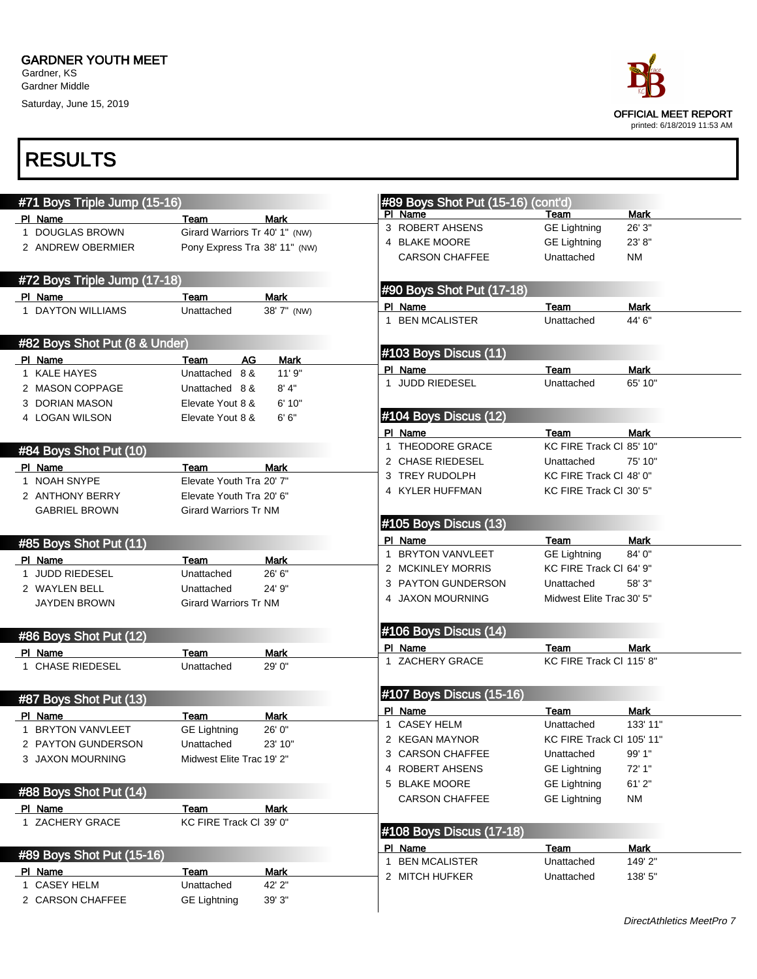Saturday, June 15, 2019



| #71 Boys Triple Jump (15-16)  |                                        |                | #89 Boys Shot Put (15-16) (cont'd) |                           |             |
|-------------------------------|----------------------------------------|----------------|------------------------------------|---------------------------|-------------|
|                               |                                        |                | PI Name                            | Team                      | <b>Mark</b> |
| PI Name<br>1 DOUGLAS BROWN    | Team<br>Girard Warriors Tr 40' 1" (NW) | Mark           | 3 ROBERT AHSENS                    | <b>GE Lightning</b>       | 26' 3"      |
| 2 ANDREW OBERMIER             | Pony Express Tra 38' 11" (NW)          |                | 4 BLAKE MOORE                      | <b>GE Lightning</b>       | 23' 8"      |
|                               |                                        |                | <b>CARSON CHAFFEE</b>              | Unattached                | <b>NM</b>   |
|                               |                                        |                |                                    |                           |             |
| #72 Boys Triple Jump (17-18)  |                                        |                | #90 Boys Shot Put (17-18)          |                           |             |
| PI Name                       | Team                                   | <b>Mark</b>    | PI Name                            | Team                      | <b>Mark</b> |
| 1 DAYTON WILLIAMS             | Unattached                             | 38' 7" (NW)    | 1 BEN MCALISTER                    | Unattached                | 44' 6"      |
|                               |                                        |                |                                    |                           |             |
| #82 Boys Shot Put (8 & Under) |                                        |                | #103 Boys Discus (11)              |                           |             |
| PI Name                       | AG<br>Team                             | <b>Mark</b>    | PI Name                            | Team                      | <b>Mark</b> |
| 1 KALE HAYES                  | Unattached 8 &                         | 11'9"          | 1 JUDD RIEDESEL                    | Unattached                | 65' 10"     |
| 2 MASON COPPAGE               | Unattached 8 &                         | 8' 4"          |                                    |                           |             |
| 3 DORIAN MASON                | Elevate Yout 8 &                       | 6' 10"         |                                    |                           |             |
| 4 LOGAN WILSON                | Elevate Yout 8 &                       | 6' 6''         | #104 Boys Discus (12)              |                           |             |
|                               |                                        |                | PI Name                            | Team                      | Mark        |
| #84 Boys Shot Put (10)        |                                        |                | 1 THEODORE GRACE                   | KC FIRE Track CI 85' 10"  |             |
| PI Name                       | Team                                   | <b>Mark</b>    | 2 CHASE RIEDESEL                   | Unattached                | 75' 10"     |
| 1 NOAH SNYPE                  | Elevate Youth Tra 20' 7"               |                | 3 TREY RUDOLPH                     | KC FIRE Track CI 48' 0"   |             |
| 2 ANTHONY BERRY               | Elevate Youth Tra 20' 6"               |                | 4 KYLER HUFFMAN                    | KC FIRE Track CI 30' 5"   |             |
| <b>GABRIEL BROWN</b>          | <b>Girard Warriors Tr NM</b>           |                |                                    |                           |             |
|                               |                                        |                | #105 Boys Discus (13)              |                           |             |
| #85 Boys Shot Put (11)        |                                        |                | PI Name                            | Team                      | <b>Mark</b> |
|                               |                                        |                | 1 BRYTON VANVLEET                  | <b>GE Lightning</b>       | 84' 0"      |
| PI Name<br>1 JUDD RIEDESEL    | Team<br>Unattached                     | Mark<br>26' 6" | 2 MCKINLEY MORRIS                  | KC FIRE Track CI 64' 9"   |             |
| 2 WAYLEN BELL                 | Unattached                             | 24' 9"         | 3 PAYTON GUNDERSON                 | Unattached                | 58' 3"      |
| <b>JAYDEN BROWN</b>           | <b>Girard Warriors Tr NM</b>           |                | 4 JAXON MOURNING                   | Midwest Elite Trac 30' 5" |             |
|                               |                                        |                |                                    |                           |             |
|                               |                                        |                | #106 Boys Discus (14)              |                           |             |
| #86 Boys Shot Put (12)        |                                        |                | PI Name                            | Team                      | <b>Mark</b> |
| PI Name                       | Team                                   | <b>Mark</b>    | 1 ZACHERY GRACE                    | KC FIRE Track CI 115' 8"  |             |
| 1 CHASE RIEDESEL              | Unattached                             | 29' 0"         |                                    |                           |             |
|                               |                                        |                |                                    |                           |             |
| #87 Boys Shot Put (13)        |                                        |                | #107 Boys Discus (15-16)           |                           |             |
| PI Name                       | Team                                   | Mark           | PI Name                            | Team                      | <b>Mark</b> |
| 1 BRYTON VANVLEET             | <b>GE Lightning</b>                    | 26' 0"         | 1 CASEY HELM                       | Unattached                | 133' 11"    |
| 2 PAYTON GUNDERSON            | Unattached                             | 23' 10"        | 2 KEGAN MAYNOR                     | KC FIRE Track CI 105' 11" |             |
| 3 JAXON MOURNING              | Midwest Elite Trac 19' 2"              |                | 3 CARSON CHAFFEE                   | Unattached                | 99' 1"      |
|                               |                                        |                | 4 ROBERT AHSENS                    | <b>GE Lightning</b>       | 72' 1"      |
| #88 Boys Shot Put (14)        |                                        |                | 5 BLAKE MOORE                      | <b>GE Lightning</b>       | 61'2"       |
| PI Name                       | Team                                   | <b>Mark</b>    | <b>CARSON CHAFFEE</b>              | <b>GE Lightning</b>       | <b>NM</b>   |
| 1 ZACHERY GRACE               | KC FIRE Track CI 39' 0"                |                |                                    |                           |             |
|                               |                                        |                | #108 Boys Discus (17-18)           |                           |             |
|                               |                                        |                | PI Name                            | Team                      | <b>Mark</b> |
| #89 Boys Shot Put (15-16)     |                                        |                | 1 BEN MCALISTER                    | Unattached                | 149' 2"     |
| PI Name                       | Team                                   | <b>Mark</b>    | 2 MITCH HUFKER                     | Unattached                | 138' 5"     |
| 1 CASEY HELM                  | Unattached                             | 42' 2"         |                                    |                           |             |
| 2 CARSON CHAFFEE              | <b>GE Lightning</b>                    | 39' 3"         |                                    |                           |             |
|                               |                                        |                |                                    |                           |             |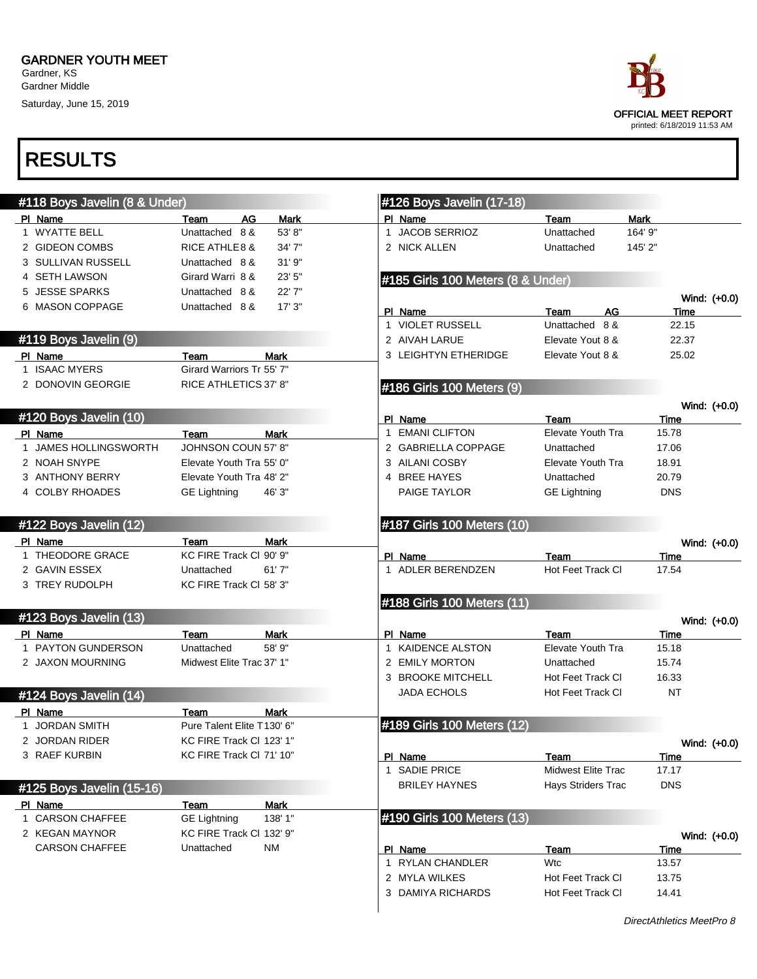Saturday, June 15, 2019



| #118 Boys Javelin (8 & Under) |                                    |                | #126 Boys Javelin (17-18)             |                                                 |         |                     |                |
|-------------------------------|------------------------------------|----------------|---------------------------------------|-------------------------------------------------|---------|---------------------|----------------|
| PI Name                       | AG<br>Team                         | Mark           | PI Name                               | Team                                            | Mark    |                     |                |
| 1 WYATTE BELL                 | Unattached 8 &                     | 53' 8"         | 1 JACOB SERRIOZ                       | Unattached                                      | 164' 9" |                     |                |
| 2 GIDEON COMBS                | <b>RICE ATHLE 8 &amp;</b>          | 34'7"          | 2 NICK ALLEN                          | Unattached                                      | 145' 2" |                     |                |
| 3 SULLIVAN RUSSELL            | Unattached 8 &                     | 31'9''         |                                       |                                                 |         |                     |                |
| 4 SETH LAWSON                 | Girard Warri 8 &                   | 23' 5"         | #185 Girls 100 Meters (8 & Under)     |                                                 |         |                     |                |
| 5 JESSE SPARKS                | Unattached 8 &                     | 22'7"          |                                       |                                                 |         |                     | Wind: (+0.0)   |
| 6 MASON COPPAGE               | Unattached 8 &                     | 17'3''         | PI Name                               | AG<br>Team                                      |         | Time                |                |
|                               |                                    |                | 1 VIOLET RUSSELL                      | Unattached 8 &                                  |         | 22.15               |                |
| #119 Boys Javelin (9)         |                                    |                | 2 AIVAH LARUE                         | Elevate Yout 8 &                                |         | 22.37               |                |
| PI Name                       | Team                               | Mark           | 3 LEIGHTYN ETHERIDGE                  | Elevate Yout 8 &                                |         | 25.02               |                |
| 1 ISAAC MYERS                 | Girard Warriors Tr 55' 7"          |                |                                       |                                                 |         |                     |                |
| 2 DONOVIN GEORGIE             | RICE ATHLETICS 37' 8"              |                | #186 Girls 100 Meters (9)             |                                                 |         |                     |                |
|                               |                                    |                |                                       |                                                 |         |                     |                |
| #120 Boys Javelin (10)        |                                    |                | PI Name                               | Team                                            |         | Time                | Wind: (+0.0)   |
| PI Name                       | Team                               | <b>Mark</b>    | 1 EMANI CLIFTON                       | <b>Elevate Youth Tra</b>                        |         | 15.78               |                |
| 1 JAMES HOLLINGSWORTH         | JOHNSON COUN 57' 8"                |                | 2 GABRIELLA COPPAGE                   | Unattached                                      |         | 17.06               |                |
| 2 NOAH SNYPE                  | Elevate Youth Tra 55' 0"           |                | 3 AILANI COSBY                        | Elevate Youth Tra                               |         | 18.91               |                |
| 3 ANTHONY BERRY               | Elevate Youth Tra 48' 2"           |                | 4 BREE HAYES                          | Unattached                                      |         | 20.79               |                |
| 4 COLBY RHOADES               | <b>GE Lightning</b>                | 46' 3"         | PAIGE TAYLOR                          | <b>GE Lightning</b>                             |         | <b>DNS</b>          |                |
|                               |                                    |                |                                       |                                                 |         |                     |                |
| #122 Boys Javelin (12)        |                                    |                | #187 Girls 100 Meters (10)            |                                                 |         |                     |                |
| PI Name                       | Team                               | Mark           |                                       |                                                 |         |                     |                |
| 1 THEODORE GRACE              | KC FIRE Track CI 90' 9"            |                | PI Name                               | Team                                            |         | Time                | Wind: (+0.0)   |
| 2 GAVIN ESSEX                 | Unattached                         | 61'7''         | 1 ADLER BERENDZEN                     | Hot Feet Track CI                               |         | 17.54               |                |
| 3 TREY RUDOLPH                | KC FIRE Track CI 58' 3"            |                |                                       |                                                 |         |                     |                |
|                               |                                    |                | #188 Girls 100 Meters (11)            |                                                 |         |                     |                |
| #123 Boys Javelin (13)        |                                    |                |                                       |                                                 |         |                     |                |
|                               |                                    |                |                                       |                                                 |         |                     | Wind: (+0.0)   |
| PI Name<br>1 PAYTON GUNDERSON | Team<br>Unattached                 | Mark<br>58' 9" | PI Name<br>1 KAIDENCE ALSTON          | Team<br><b>Elevate Youth Tra</b>                |         | Time<br>15.18       |                |
| 2 JAXON MOURNING              | Midwest Elite Trac 37' 1"          |                | 2 EMILY MORTON                        | Unattached                                      |         | 15.74               |                |
|                               |                                    |                | 3 BROOKE MITCHELL                     | Hot Feet Track CI                               |         | 16.33               |                |
|                               |                                    |                | <b>JADA ECHOLS</b>                    | Hot Feet Track CI                               |         | <b>NT</b>           |                |
| #124 Boys Javelin (14)        |                                    |                |                                       |                                                 |         |                     |                |
| PI Name                       | Team<br>Pure Talent Elite T130' 6" | Mark           | #189 Girls 100 Meters (12)            |                                                 |         |                     |                |
| <b>JORDAN SMITH</b>           |                                    |                |                                       |                                                 |         |                     |                |
| 2 JORDAN RIDER                | KC FIRE Track CI 123' 1"           |                |                                       |                                                 |         |                     | Wind: (+0.0)   |
| 3 RAEF KURBIN                 | KC FIRE Track CI 71' 10"           |                | PI Name                               | Team                                            |         | Time                |                |
|                               |                                    |                | 1 SADIE PRICE<br><b>BRILEY HAYNES</b> | Midwest Elite Trac<br><b>Hays Striders Trac</b> |         | 17.17<br><b>DNS</b> |                |
| #125 Boys Javelin (15-16)     |                                    |                |                                       |                                                 |         |                     |                |
| PI Name                       | Team                               | <b>Mark</b>    |                                       |                                                 |         |                     |                |
| 1 CARSON CHAFFEE              | <b>GE Lightning</b>                | 138' 1"        | #190 Girls 100 Meters (13)            |                                                 |         |                     |                |
| 2 KEGAN MAYNOR                | KC FIRE Track Cl 132' 9"           |                |                                       |                                                 |         |                     | Wind: $(+0.0)$ |
| <b>CARSON CHAFFEE</b>         | Unattached                         | <b>NM</b>      | PI Name                               | Team                                            |         | Time                |                |
|                               |                                    |                | 1 RYLAN CHANDLER                      | <b>Wtc</b>                                      |         | 13.57               |                |
|                               |                                    |                | 2 MYLA WILKES                         | Hot Feet Track Cl                               |         | 13.75               |                |
|                               |                                    |                | 3 DAMIYA RICHARDS                     | Hot Feet Track Cl                               |         | 14.41               |                |
|                               |                                    |                |                                       |                                                 |         |                     |                |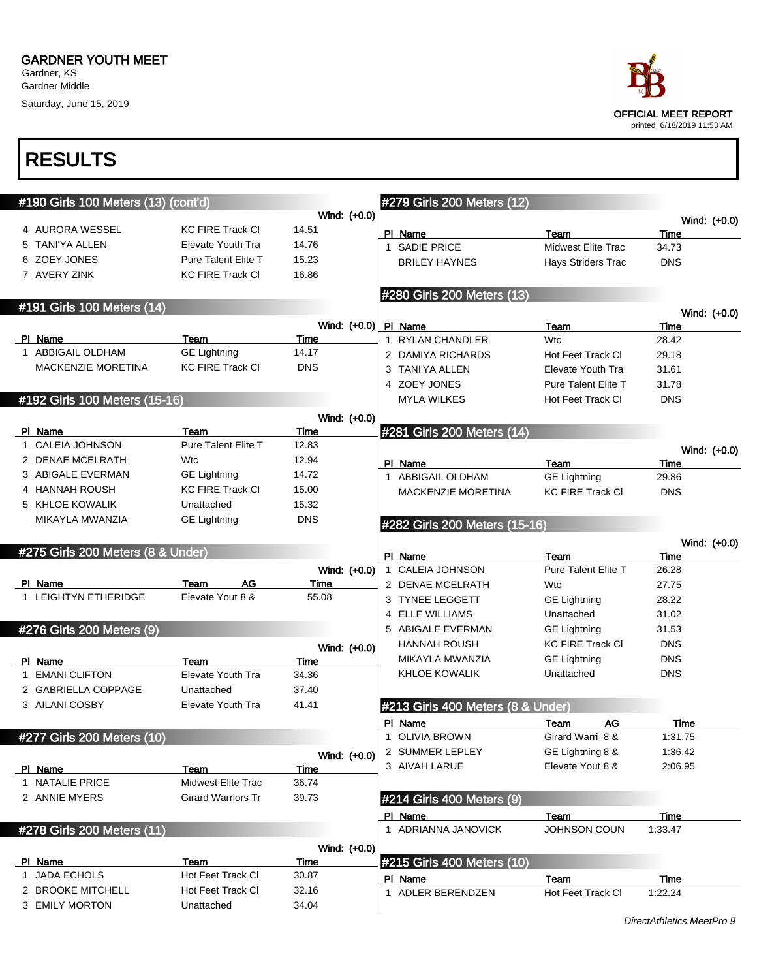Saturday, June 15, 2019



| #190 Girls 100 Meters (13) (cont'd) |                            |            |              | #279 Girls 200 Meters (12)        |                            |                 |              |
|-------------------------------------|----------------------------|------------|--------------|-----------------------------------|----------------------------|-----------------|--------------|
|                                     |                            |            | Wind: (+0.0) |                                   |                            |                 | Wind: (+0.0) |
| 4 AURORA WESSEL                     | <b>KC FIRE Track CI</b>    | 14.51      |              | PI Name                           | Team                       | Time            |              |
| 5 TANI'YA ALLEN                     | Elevate Youth Tra          | 14.76      |              | 1 SADIE PRICE                     | <b>Midwest Elite Trac</b>  | 34.73           |              |
| 6 ZOEY JONES                        | <b>Pure Talent Elite T</b> | 15.23      |              | <b>BRILEY HAYNES</b>              | Hays Striders Trac         | <b>DNS</b>      |              |
| 7 AVERY ZINK                        | <b>KC FIRE Track CI</b>    | 16.86      |              |                                   |                            |                 |              |
|                                     |                            |            |              | #280 Girls 200 Meters (13)        |                            |                 |              |
| #191 Girls 100 Meters (14)          |                            |            |              |                                   |                            |                 | Wind: (+0.0) |
|                                     |                            |            | Wind: (+0.0) | PI Name                           | Team                       | Time            |              |
| PI Name                             | Team                       | Time       |              | 1 RYLAN CHANDLER                  | <b>Wtc</b>                 | 28.42           |              |
| 1 ABBIGAIL OLDHAM                   | <b>GE Lightning</b>        | 14.17      |              | 2 DAMIYA RICHARDS                 | Hot Feet Track CI          | 29.18           |              |
| MACKENZIE MORETINA                  | <b>KC FIRE Track CI</b>    | <b>DNS</b> |              | 3 TANI'YA ALLEN                   | Elevate Youth Tra          | 31.61           |              |
|                                     |                            |            |              | 4 ZOEY JONES                      | <b>Pure Talent Elite T</b> | 31.78           |              |
| #192 Girls 100 Meters (15-16)       |                            |            |              | MYLA WILKES                       | Hot Feet Track CI          | <b>DNS</b>      |              |
|                                     |                            |            | Wind: (+0.0) |                                   |                            |                 |              |
| PI Name                             | Team                       | Time       |              | #281 Girls 200 Meters (14)        |                            |                 |              |
| 1 CALEIA JOHNSON                    | Pure Talent Elite T        | 12.83      |              |                                   |                            |                 | Wind: (+0.0) |
| 2 DENAE MCELRATH                    | Wtc                        | 12.94      |              | PI Name                           | Team                       | Time            |              |
| 3 ABIGALE EVERMAN                   | <b>GE Lightning</b>        | 14.72      |              | 1 ABBIGAIL OLDHAM                 | <b>GE Lightning</b>        | 29.86           |              |
| 4 HANNAH ROUSH                      | <b>KC FIRE Track CI</b>    | 15.00      |              | MACKENZIE MORETINA                | <b>KC FIRE Track CI</b>    | <b>DNS</b>      |              |
| 5 KHLOE KOWALIK                     | Unattached                 | 15.32      |              |                                   |                            |                 |              |
| MIKAYLA MWANZIA                     | <b>GE Lightning</b>        | <b>DNS</b> |              | #282 Girls 200 Meters (15-16)     |                            |                 |              |
|                                     |                            |            |              |                                   |                            |                 | Wind: (+0.0) |
| #275 Girls 200 Meters (8 & Under)   |                            |            |              | PI Name                           | Team                       | Time            |              |
|                                     |                            |            | Wind: (+0.0) | 1 CALEIA JOHNSON                  | <b>Pure Talent Elite T</b> | 26.28           |              |
| PI Name                             | AG<br>Team                 | Time       |              | 2 DENAE MCELRATH                  | Wtc                        | 27.75           |              |
| 1 LEIGHTYN ETHERIDGE                | Elevate Yout 8 &           | 55.08      |              | 3 TYNEE LEGGETT                   | <b>GE Lightning</b>        | 28.22           |              |
|                                     |                            |            |              | 4 ELLE WILLIAMS                   | Unattached                 | 31.02           |              |
| #276 Girls 200 Meters (9)           |                            |            |              | 5 ABIGALE EVERMAN                 | <b>GE Lightning</b>        | 31.53           |              |
|                                     |                            |            | Wind: (+0.0) | <b>HANNAH ROUSH</b>               | <b>KC FIRE Track CI</b>    | <b>DNS</b>      |              |
| PI Name                             | Team                       | Time       |              | MIKAYLA MWANZIA                   | <b>GE Lightning</b>        | <b>DNS</b>      |              |
| 1 EMANI CLIFTON                     | <b>Elevate Youth Tra</b>   | 34.36      |              | <b>KHLOE KOWALIK</b>              | Unattached                 | <b>DNS</b>      |              |
| 2 GABRIELLA COPPAGE                 | Unattached                 | 37.40      |              |                                   |                            |                 |              |
| 3 AILANI COSBY                      | Elevate Youth Tra          | 41.41      |              | #213 Girls 400 Meters (8 & Under) |                            |                 |              |
|                                     |                            |            |              | PI Name                           | <b>AG</b><br>Team          | Time            |              |
| #277 Girls 200 Meters (10)          |                            |            |              | 1 OLIVIA BROWN                    | Girard Warri 8 &           | 1:31.75         |              |
|                                     |                            |            | Wind: (+0.0) | 2 SUMMER LEPLEY                   | GE Lightning 8 &           | 1:36.42         |              |
| PI Name                             | Team                       | Time       |              | 3 AIVAH LARUE                     | Elevate Yout 8 &           | 2:06.95         |              |
| 1 NATALIE PRICE                     | Midwest Elite Trac         | 36.74      |              |                                   |                            |                 |              |
| 2 ANNIE MYERS                       | <b>Girard Warriors Tr</b>  | 39.73      |              | #214 Girls 400 Meters (9)         |                            |                 |              |
|                                     |                            |            |              | PI Name                           | Team                       | Time            |              |
| #278 Girls 200 Meters (11)          |                            |            |              | 1 ADRIANNA JANOVICK               | JOHNSON COUN               | 1:33.47         |              |
|                                     |                            |            |              |                                   |                            |                 |              |
| PI Name                             | Team                       | Time       | Wind: (+0.0) | #215 Girls 400 Meters (10)        |                            |                 |              |
| 1 JADA ECHOLS                       | Hot Feet Track CI          | 30.87      |              |                                   |                            |                 |              |
| 2 BROOKE MITCHELL                   | Hot Feet Track CI          | 32.16      |              | PI Name<br>1 ADLER BERENDZEN      | Team<br>Hot Feet Track CI  | Time<br>1:22.24 |              |
| 3 EMILY MORTON                      | Unattached                 | 34.04      |              |                                   |                            |                 |              |
|                                     |                            |            |              |                                   |                            |                 |              |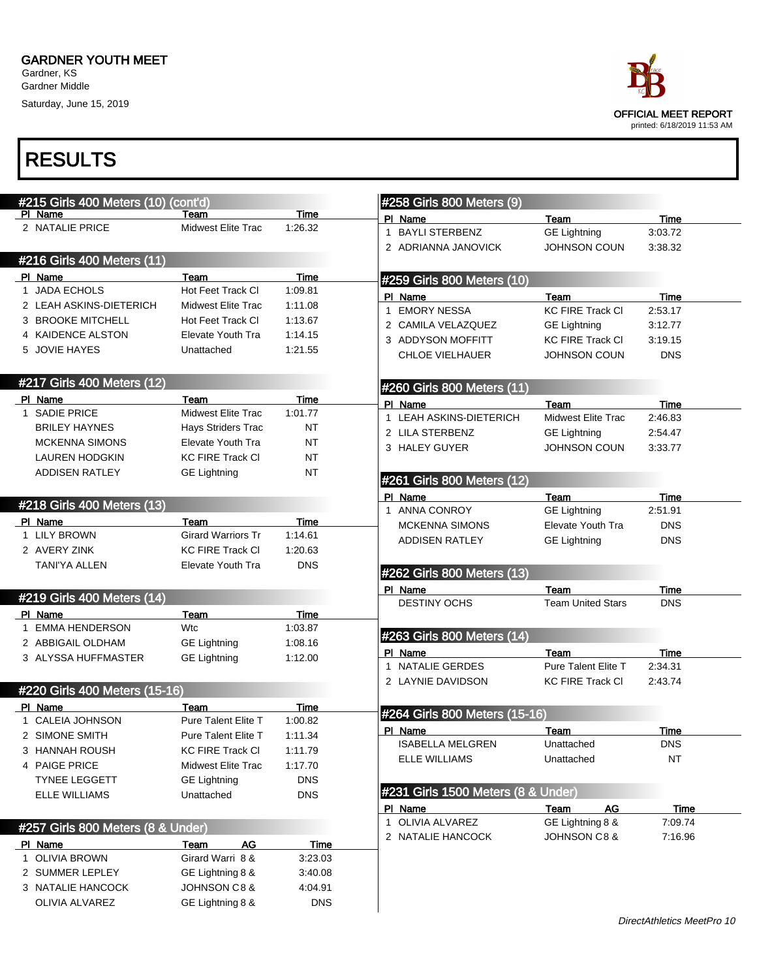Saturday, June 15, 2019



| #215 Girls 400 Meters (10) (cont'd) |                           |                 | #258 Girls 800 Meters (9)             |                                |                 |
|-------------------------------------|---------------------------|-----------------|---------------------------------------|--------------------------------|-----------------|
| PI Name                             | Team                      | Time            | PI Name                               | Team                           | <b>Time</b>     |
| 2 NATALIE PRICE                     | Midwest Elite Trac        | 1:26.32         | <b>BAYLI STERBENZ</b><br>$\mathbf{1}$ | <b>GE Lightning</b>            | 3:03.72         |
|                                     |                           |                 | 2 ADRIANNA JANOVICK                   | <b>JOHNSON COUN</b>            | 3:38.32         |
| #216 Girls 400 Meters (11)          |                           |                 |                                       |                                |                 |
| PI Name                             | Team                      | Time            | #259 Girls 800 Meters (10)            |                                |                 |
| 1 JADA ECHOLS                       | Hot Feet Track CI         | 1:09.81         | PI Name                               | Team                           | Time            |
| 2 LEAH ASKINS-DIETERICH             | Midwest Elite Trac        | 1:11.08         | <b>EMORY NESSA</b><br>$\mathbf{1}$    | <b>KC FIRE Track CI</b>        | 2:53.17         |
| 3 BROOKE MITCHELL                   | Hot Feet Track CI         | 1:13.67         | 2 CAMILA VELAZQUEZ                    | <b>GE Lightning</b>            | 3:12.77         |
| 4 KAIDENCE ALSTON                   | Elevate Youth Tra         | 1:14.15         | 3 ADDYSON MOFFITT                     | <b>KC FIRE Track CI</b>        | 3:19.15         |
| 5 JOVIE HAYES                       | Unattached                | 1:21.55         | <b>CHLOE VIELHAUER</b>                | <b>JOHNSON COUN</b>            | <b>DNS</b>      |
| #217 Girls 400 Meters (12)          |                           |                 | #260 Girls 800 Meters (11)            |                                |                 |
| PI Name                             | Team                      | Time            | PI Name                               | Team                           | <b>Time</b>     |
| 1 SADIE PRICE                       | Midwest Elite Trac        | 1:01.77         | LEAH ASKINS-DIETERICH<br>$\mathbf{1}$ | <b>Midwest Elite Trac</b>      | 2:46.83         |
| <b>BRILEY HAYNES</b>                | Hays Striders Trac        | NT              | 2 LILA STERBENZ                       | <b>GE Lightning</b>            | 2:54.47         |
| <b>MCKENNA SIMONS</b>               | Elevate Youth Tra         | <b>NT</b>       | 3 HALEY GUYER                         | <b>JOHNSON COUN</b>            | 3:33.77         |
| <b>LAUREN HODGKIN</b>               | <b>KC FIRE Track CI</b>   | <b>NT</b>       |                                       |                                |                 |
| <b>ADDISEN RATLEY</b>               | <b>GE Lightning</b>       | <b>NT</b>       | #261 Girls 800 Meters (12)            |                                |                 |
|                                     |                           |                 | PI Name                               | Team                           | Time            |
| #218 Girls 400 Meters (13)          |                           |                 | 1 ANNA CONROY                         | <b>GE Lightning</b>            | 2:51.91         |
| PI Name                             | Team                      | Time            | <b>MCKENNA SIMONS</b>                 | Elevate Youth Tra              | <b>DNS</b>      |
| 1 LILY BROWN                        | <b>Girard Warriors Tr</b> | 1:14.61         | <b>ADDISEN RATLEY</b>                 | <b>GE Lightning</b>            | <b>DNS</b>      |
| 2 AVERY ZINK                        | <b>KC FIRE Track CI</b>   | 1:20.63         |                                       |                                |                 |
| <b>TANI'YA ALLEN</b>                | Elevate Youth Tra         | <b>DNS</b>      | #262 Girls 800 Meters (13)            |                                |                 |
| #219 Girls 400 Meters (14)          |                           |                 | PI Name                               | Team                           | <b>Time</b>     |
|                                     |                           |                 | <b>DESTINY OCHS</b>                   | <b>Team United Stars</b>       | <b>DNS</b>      |
| PI Name<br><b>EMMA HENDERSON</b>    | Team<br>Wtc               | Time<br>1:03.87 |                                       |                                |                 |
| 2 ABBIGAIL OLDHAM                   |                           | 1:08.16         | #263 Girls 800 Meters (14)            |                                |                 |
| 3 ALYSSA HUFFMASTER                 | <b>GE Lightning</b>       | 1:12.00         | PI Name                               | Team                           | Time            |
|                                     | <b>GE Lightning</b>       |                 | NATALIE GERDES<br>1                   | <b>Pure Talent Elite T</b>     | 2:34.31         |
|                                     |                           |                 | 2 LAYNIE DAVIDSON                     | <b>KC FIRE Track CI</b>        | 2:43.74         |
| #220 Girls 400 Meters (15-16)       |                           |                 |                                       |                                |                 |
| PI Name                             | Team                      | Time            | #264 Girls 800 Meters (15-16)         |                                |                 |
| 1 CALEIA JOHNSON                    | Pure Talent Elite T       | 1:00.82         | PI Name                               | Team                           | Time            |
| 2 SIMONE SMITH                      | Pure Talent Elite T       | 1:11.34         | <b>ISABELLA MELGREN</b>               | Unattached                     | DNS             |
| 3 HANNAH ROUSH                      | <b>KC FIRE Track CI</b>   | 1:11.79         | <b>ELLE WILLIAMS</b>                  | Unattached                     | ΝT              |
| 4 PAIGE PRICE                       | Midwest Elite Trac        | 1:17.70         |                                       |                                |                 |
| <b>TYNEE LEGGETT</b>                | <b>GE Lightning</b>       | <b>DNS</b>      | #231 Girls 1500 Meters (8 & Under)    |                                |                 |
| <b>ELLE WILLIAMS</b>                | Unattached                | <b>DNS</b>      | PI Name                               |                                |                 |
|                                     |                           |                 | 1 OLIVIA ALVAREZ                      | Team<br>AG<br>GE Lightning 8 & | Time<br>7:09.74 |
| #257 Girls 800 Meters (8 & Under)   |                           |                 | 2 NATALIE HANCOCK                     | JOHNSON C8&                    | 7:16.96         |
| PI Name                             | <b>AG</b><br>Team         | <u>Time</u>     |                                       |                                |                 |
| 1 OLIVIA BROWN                      | Girard Warri 8 &          | 3:23.03         |                                       |                                |                 |
| 2 SUMMER LEPLEY                     | GE Lightning 8 &          | 3:40.08         |                                       |                                |                 |
| 3 NATALIE HANCOCK                   | <b>JOHNSON C8 &amp;</b>   | 4:04.91         |                                       |                                |                 |
| OLIVIA ALVAREZ                      | GE Lightning 8 &          | <b>DNS</b>      |                                       |                                |                 |
|                                     |                           |                 |                                       |                                |                 |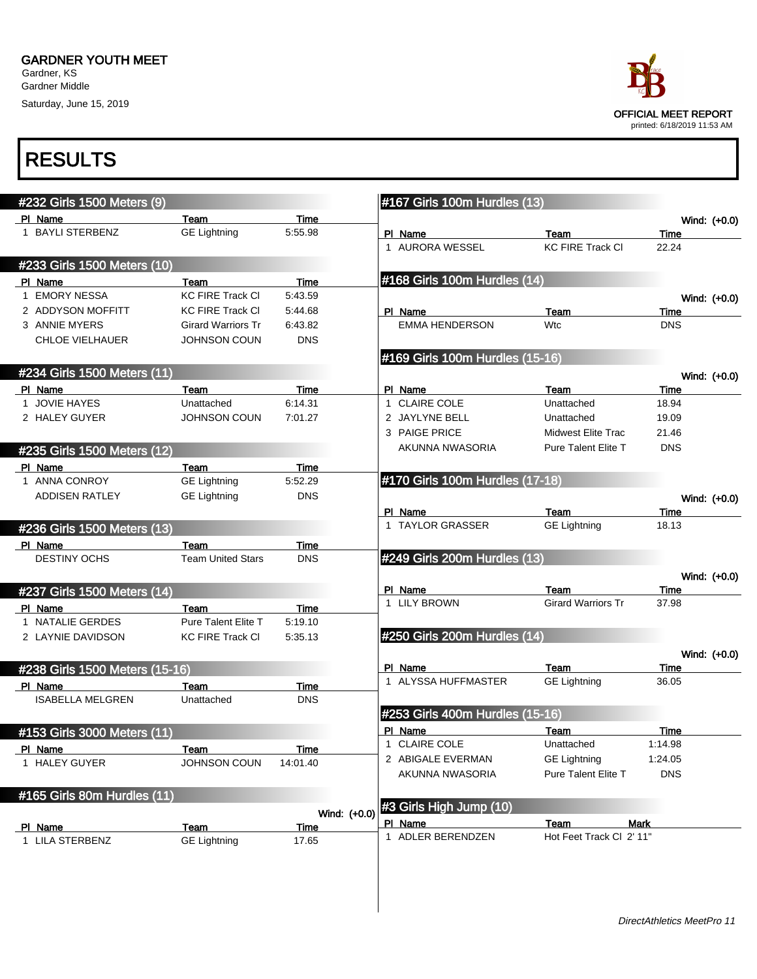Saturday, June 15, 2019



| #232 Girls 1500 Meters (9)     |                                  |                    |              | #167 Girls 100m Hurdles (13)    |                             |                      |
|--------------------------------|----------------------------------|--------------------|--------------|---------------------------------|-----------------------------|----------------------|
| PI Name                        | Team                             | Time               |              |                                 |                             | Wind: (+0.0)         |
| 1 BAYLI STERBENZ               | <b>GE Lightning</b>              | 5:55.98            |              | PI Name                         | Team                        | Time                 |
|                                |                                  |                    |              | 1 AURORA WESSEL                 | <b>KC FIRE Track CI</b>     | 22.24                |
| #233 Girls 1500 Meters (10)    |                                  |                    |              |                                 |                             |                      |
| PI Name                        | Team                             | Time               |              | #168 Girls 100m Hurdles (14)    |                             |                      |
| 1 EMORY NESSA                  | <b>KC FIRE Track CI</b>          | 5:43.59            |              |                                 |                             | Wind: (+0.0)         |
| 2 ADDYSON MOFFITT              | <b>KC FIRE Track CI</b>          | 5:44.68            |              | PI Name                         | Team                        | Time                 |
| 3 ANNIE MYERS                  | <b>Girard Warriors Tr</b>        | 6:43.82            |              | <b>EMMA HENDERSON</b>           | <b>Wtc</b>                  | <b>DNS</b>           |
| <b>CHLOE VIELHAUER</b>         | <b>JOHNSON COUN</b>              | <b>DNS</b>         |              |                                 |                             |                      |
|                                |                                  |                    |              | #169 Girls 100m Hurdles (15-16) |                             |                      |
| #234 Girls 1500 Meters (11)    |                                  |                    |              |                                 |                             | Wind: (+0.0)         |
| PI Name                        | Team                             | Time               |              | PI Name                         | Team                        | Time                 |
| 1 JOVIE HAYES                  | Unattached                       | 6:14.31            |              | 1 CLAIRE COLE                   | Unattached                  | 18.94                |
| 2 HALEY GUYER                  | <b>JOHNSON COUN</b>              | 7:01.27            |              | 2 JAYLYNE BELL                  | Unattached                  | 19.09                |
|                                |                                  |                    |              | 3 PAIGE PRICE                   | Midwest Elite Trac          | 21.46                |
| #235 Girls 1500 Meters (12)    |                                  |                    |              | AKUNNA NWASORIA                 | <b>Pure Talent Elite T</b>  | <b>DNS</b>           |
| PI Name                        | Team                             | Time               |              |                                 |                             |                      |
| 1 ANNA CONROY                  | <b>GE Lightning</b>              | 5:52.29            |              | #170 Girls 100m Hurdles (17-18) |                             |                      |
| <b>ADDISEN RATLEY</b>          | <b>GE Lightning</b>              | <b>DNS</b>         |              |                                 |                             | Wind: (+0.0)         |
|                                |                                  |                    |              | PI Name                         | Team                        | Time                 |
| #236 Girls 1500 Meters (13)    |                                  |                    |              | 1 TAYLOR GRASSER                | <b>GE Lightning</b>         | 18.13                |
|                                |                                  |                    |              |                                 |                             |                      |
| PI Name<br>DESTINY OCHS        | Team<br><b>Team United Stars</b> | Time<br><b>DNS</b> |              | #249 Girls 200m Hurdles (13)    |                             |                      |
|                                |                                  |                    |              |                                 |                             |                      |
|                                |                                  |                    |              | PI Name                         | Team                        | Wind: (+0.0)<br>Time |
| #237 Girls 1500 Meters (14)    |                                  |                    |              | 1 LILY BROWN                    | <b>Girard Warriors Tr</b>   | 37.98                |
| PI Name                        | Team                             | Time               |              |                                 |                             |                      |
| 1 NATALIE GERDES               | Pure Talent Elite T              | 5:19.10            |              |                                 |                             |                      |
| 2 LAYNIE DAVIDSON              | <b>KC FIRE Track CI</b>          | 5:35.13            |              | #250 Girls 200m Hurdles (14)    |                             |                      |
|                                |                                  |                    |              |                                 |                             | Wind: (+0.0)         |
| #238 Girls 1500 Meters (15-16) |                                  |                    |              | PI Name<br>1 ALYSSA HUFFMASTER  | Team<br><b>GE Lightning</b> | Time                 |
| PI Name                        | Team                             | Time               |              |                                 |                             | 36.05                |
| <b>ISABELLA MELGREN</b>        | Unattached                       | <b>DNS</b>         |              |                                 |                             |                      |
|                                |                                  |                    |              | #253 Girls 400m Hurdles (15-16) |                             |                      |
| #153 Girls 3000 Meters (11)    |                                  |                    |              | PI Name                         | Team                        | Time                 |
| PI Name                        | Team                             | Time               |              | 1 CLAIRE COLE                   | Unattached                  | 1:14.98              |
| 1 HALEY GUYER                  | <b>JOHNSON COUN</b>              | 14:01.40           |              | 2 ABIGALE EVERMAN               | <b>GE Lightning</b>         | 1:24.05              |
|                                |                                  |                    |              | AKUNNA NWASORIA                 | Pure Talent Elite T         | <b>DNS</b>           |
| #165 Girls 80m Hurdles (11)    |                                  |                    |              |                                 |                             |                      |
|                                |                                  |                    | Wind: (+0.0) | #3 Girls High Jump (10)         |                             |                      |
| PI Name                        | Team                             | Time               |              | PI Name                         | Team                        | Mark                 |
| 1 LILA STERBENZ                | <b>GE Lightning</b>              | 17.65              |              | 1 ADLER BERENDZEN               | Hot Feet Track Cl 2' 11"    |                      |
|                                |                                  |                    |              |                                 |                             |                      |
|                                |                                  |                    |              |                                 |                             |                      |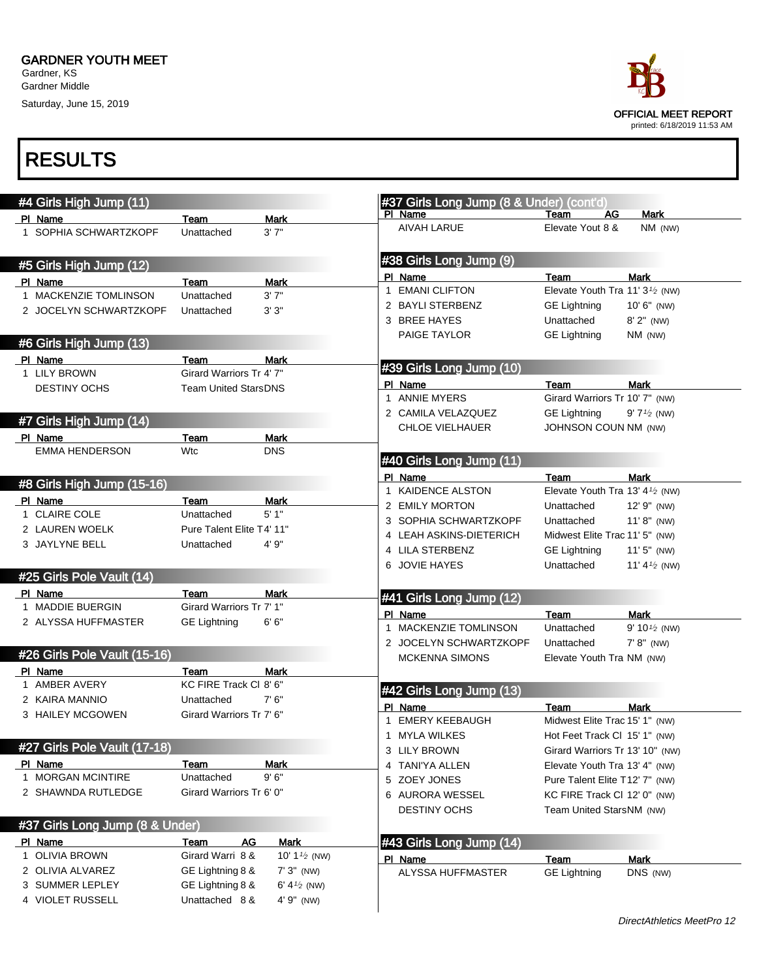Saturday, June 15, 2019



|             | #4 Girls High Jump (11)          |                             |                         |              | #37 Girls Long Jump (8 & Under) (cont'd) |                                                          |                          |
|-------------|----------------------------------|-----------------------------|-------------------------|--------------|------------------------------------------|----------------------------------------------------------|--------------------------|
|             | PI Name                          | Team                        | <b>Mark</b>             |              | PI Name                                  | Team<br>AG                                               | Mark                     |
|             | 1 SOPHIA SCHWARTZKOPF            | Unattached                  | 3'7''                   |              | <b>AIVAH LARUE</b>                       | Elevate Yout 8 &                                         | NM (NW)                  |
|             | #5 Girls High Jump (12)          |                             |                         |              | #38 Girls Long Jump (9)                  |                                                          |                          |
|             | PI Name                          | Team                        | <b>Mark</b>             |              | PI Name                                  | Team                                                     | <b>Mark</b>              |
|             | 1 MACKENZIE TOMLINSON            | Unattached                  | 3'7''                   | $\mathbf{1}$ | <b>EMANI CLIFTON</b>                     | Elevate Youth Tra 11' 3 <sup>1</sup> / <sub>2</sub> (NW) |                          |
|             | 2 JOCELYN SCHWARTZKOPF           | Unattached                  | 3'3"                    |              | 2 BAYLI STERBENZ                         | <b>GE Lightning</b>                                      | $10' 6''$ (NW)           |
|             |                                  |                             |                         |              | 3 BREE HAYES                             | Unattached                                               | $8'$ 2" (NW)             |
|             | #6 Girls High Jump (13)          |                             |                         |              | PAIGE TAYLOR                             | <b>GE Lightning</b>                                      | $NM$ (NW)                |
|             | PI Name                          | Team                        | <b>Mark</b>             |              |                                          |                                                          |                          |
|             | 1 LILY BROWN                     | Girard Warriors Tr 4' 7"    |                         |              | #39 Girls Long Jump (10)                 |                                                          |                          |
|             | <b>DESTINY OCHS</b>              | <b>Team United StarsDNS</b> |                         |              | PI Name                                  | Team                                                     | <b>Mark</b>              |
|             |                                  |                             |                         |              | 1 ANNIE MYERS                            | Girard Warriors Tr 10' 7" (NW)                           |                          |
|             | #7 Girls High Jump (14)          |                             |                         |              | 2 CAMILA VELAZQUEZ                       | <b>GE Lightning</b>                                      | $9'7'2$ (NW)             |
|             |                                  |                             | <b>Mark</b>             |              | <b>CHLOE VIELHAUER</b>                   | <b>JOHNSON COUN NM (NW)</b>                              |                          |
|             | PI Name<br><b>EMMA HENDERSON</b> | Team<br>Wtc                 | <b>DNS</b>              |              |                                          |                                                          |                          |
|             |                                  |                             |                         |              | #40 Girls Long Jump (11)                 |                                                          |                          |
|             |                                  |                             |                         |              | PI Name                                  | Team                                                     | <b>Mark</b>              |
|             | #8 Girls High Jump (15-16)       |                             |                         |              | 1 KAIDENCE ALSTON                        | Elevate Youth Tra 13' 4 <sup>1</sup> / <sub>2</sub> (NW) |                          |
|             | PI Name                          | Team                        | Mark                    |              | 2 EMILY MORTON                           | Unattached                                               | 12' 9" (NW)              |
|             | 1 CLAIRE COLE                    | Unattached                  | 5'1"                    |              | 3 SOPHIA SCHWARTZKOPF                    | Unattached                                               | $11' 8''$ (NW)           |
|             | 2 LAUREN WOELK                   | Pure Talent Elite T4' 11"   |                         |              | 4 LEAH ASKINS-DIETERICH                  | Midwest Elite Trac 11' 5" (NW)                           |                          |
|             | 3 JAYLYNE BELL                   | Unattached                  | 4' 9"                   |              | 4 LILA STERBENZ                          | <b>GE Lightning</b>                                      | $11'5''$ (NW)            |
|             |                                  |                             |                         |              | 6 JOVIE HAYES                            | Unattached                                               | 11' 4 $\frac{1}{2}$ (NW) |
|             | #25 Girls Pole Vault (14)        |                             |                         |              |                                          |                                                          |                          |
|             | PI Name                          | Team                        | <b>Mark</b>             |              | #41 Girls Long Jump (12)                 |                                                          |                          |
|             | 1 MADDIE BUERGIN                 | Girard Warriors Tr 7' 1"    |                         |              | PI Name                                  | Team                                                     | <b>Mark</b>              |
|             | 2 ALYSSA HUFFMASTER              | <b>GE Lightning</b>         | 6'6''                   |              | 1 MACKENZIE TOMLINSON                    | Unattached                                               | 9' 10 $\frac{1}{2}$ (NW) |
|             |                                  |                             |                         |              | 2 JOCELYN SCHWARTZKOPF                   | Unattached                                               | $7' 8''$ (NW)            |
|             | #26 Girls Pole Vault (15-16)     |                             |                         |              | <b>MCKENNA SIMONS</b>                    | Elevate Youth Tra NM (NW)                                |                          |
|             | PI Name                          | Team                        | Mark                    |              |                                          |                                                          |                          |
|             | 1 AMBER AVERY                    | KC FIRE Track CI 8' 6"      |                         |              | #42 Girls Long Jump (13)                 |                                                          |                          |
|             | 2 KAIRA MANNIO                   | Unattached                  | 7'6''                   |              |                                          | Team                                                     |                          |
|             | 3 HAILEY MCGOWEN                 | Girard Warriors Tr 7' 6"    |                         | $\mathbf 1$  | PI Name<br>EMERY KEEBAUGH                | Midwest Elite Trac 15' 1" (NW)                           | <b>Mark</b>              |
|             |                                  |                             |                         |              | 1 MYLA WILKES                            | Hot Feet Track CI 15' 1" (NW)                            |                          |
|             | #27 Girls Pole Vault (17-18)     |                             |                         |              | 3 LILY BROWN                             | Girard Warriors Tr 13' 10" (NW)                          |                          |
|             | PI Name                          | Team                        | Mark                    |              | 4 TANI'YA ALLEN                          | Elevate Youth Tra 13' 4" (NW)                            |                          |
|             | 1 MORGAN MCINTIRE                | Unattached                  | 9'6''                   |              | 5 ZOEY JONES                             | Pure Talent Elite T12' 7" (NW)                           |                          |
|             | 2 SHAWNDA RUTLEDGE               | Girard Warriors Tr 6' 0"    |                         |              | 6 AURORA WESSEL                          | KC FIRE Track CI 12' 0" (NW)                             |                          |
|             |                                  |                             |                         |              |                                          |                                                          |                          |
|             | #37 Girls Long Jump (8 & Under)  |                             |                         |              | <b>DESTINY OCHS</b>                      | Team United StarsNM (NW)                                 |                          |
|             | PI Name                          | Team<br>AG                  | <b>Mark</b>             |              | #43 Girls Long Jump (14)                 |                                                          |                          |
| $\mathbf 1$ | <b>OLIVIA BROWN</b>              | Girard Warri 8 &            | 10' $1\frac{1}{2}$ (NW) |              |                                          |                                                          |                          |
|             | 2 OLIVIA ALVAREZ                 | GE Lightning 8 &            | $7'3''$ (NW)            |              | PI Name                                  | Team                                                     | <b>Mark</b>              |
|             | 3 SUMMER LEPLEY                  | GE Lightning 8 &            | 6' 4 $\frac{1}{2}$ (NW) |              | ALYSSA HUFFMASTER                        | <b>GE Lightning</b>                                      | DNS (NW)                 |
|             | 4 VIOLET RUSSELL                 | Unattached 8 &              | 4' 9" (NW)              |              |                                          |                                                          |                          |
|             |                                  |                             |                         |              |                                          |                                                          |                          |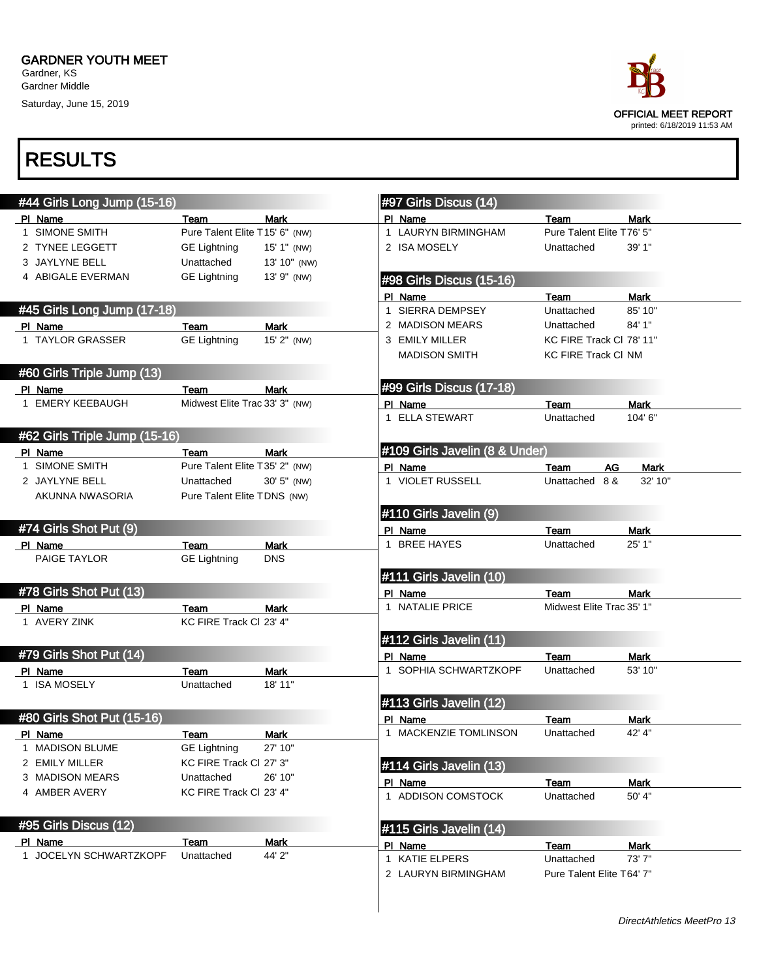Saturday, June 15, 2019



| #44 Girls Long Jump (15-16)   |                                 |              | #97 Girls Discus (14)          |                                   |             |
|-------------------------------|---------------------------------|--------------|--------------------------------|-----------------------------------|-------------|
| PI Name                       | Team                            | <b>Mark</b>  | PI Name                        | Team                              | <b>Mark</b> |
| 1 SIMONE SMITH                | Pure Talent Elite T15' 6" (NW)  |              | 1 LAURYN BIRMINGHAM            | Pure Talent Elite T76' 5"         |             |
| 2 TYNEE LEGGETT               | <b>GE Lightning</b>             | 15' 1" (NW)  | 2 ISA MOSELY                   | Unattached                        | 39' 1"      |
| 3 JAYLYNE BELL                | Unattached                      | 13' 10" (NW) |                                |                                   |             |
| 4 ABIGALE EVERMAN             | <b>GE Lightning</b>             | 13' 9" (NW)  | #98 Girls Discus (15-16)       |                                   |             |
|                               |                                 |              | PI Name                        | Team                              | <b>Mark</b> |
| #45 Girls Long Jump (17-18)   |                                 |              | 1 SIERRA DEMPSEY               | Unattached                        | 85' 10"     |
| PI Name                       | Team                            | <b>Mark</b>  | 2 MADISON MEARS                | Unattached                        | 84' 1"      |
| 1 TAYLOR GRASSER              | <b>GE Lightning</b>             | 15' 2" (NW)  | 3 EMILY MILLER                 | KC FIRE Track CI 78' 11"          |             |
|                               |                                 |              | <b>MADISON SMITH</b>           | <b>KC FIRE Track CI NM</b>        |             |
| #60 Girls Triple Jump (13)    |                                 |              |                                |                                   |             |
| PI Name                       | Team                            | <b>Mark</b>  | #99 Girls Discus (17-18)       |                                   |             |
| 1 EMERY KEEBAUGH              | Midwest Elite Trac 33' 3" (NW)  |              | PI Name                        | Team                              | <b>Mark</b> |
|                               |                                 |              | 1 ELLA STEWART                 | Unattached                        | 104' 6"     |
| #62 Girls Triple Jump (15-16) |                                 |              |                                |                                   |             |
| PI Name                       | Team                            | Mark         | #109 Girls Javelin (8 & Under) |                                   |             |
| 1 SIMONE SMITH                | Pure Talent Elite T35' 2" (NW)  |              | PI Name                        | Team<br>AG                        | Mark        |
| 2 JAYLYNE BELL                | Unattached                      | 30' 5" (NW)  | 1 VIOLET RUSSELL               | Unattached<br>8 &                 | 32' 10"     |
| AKUNNA NWASORIA               | Pure Talent Elite TDNS (NW)     |              |                                |                                   |             |
|                               |                                 |              | #110 Girls Javelin (9)         |                                   |             |
| #74 Girls Shot Put (9)        |                                 |              | PI Name                        | Team                              | <b>Mark</b> |
| PI Name                       | Team                            | <b>Mark</b>  | 1 BREE HAYES                   | Unattached                        | 25' 1"      |
| PAIGE TAYLOR                  | <b>GE Lightning</b>             | <b>DNS</b>   |                                |                                   |             |
|                               |                                 |              | #111 Girls Javelin (10)        |                                   |             |
| #78 Girls Shot Put (13)       |                                 |              |                                |                                   |             |
|                               |                                 |              | PI Name<br>1 NATALIE PRICE     | Team<br>Midwest Elite Trac 35' 1" | <b>Mark</b> |
| PI Name<br>1 AVERY ZINK       | Team<br>KC FIRE Track Cl 23' 4" | Mark         |                                |                                   |             |
|                               |                                 |              |                                |                                   |             |
|                               |                                 |              | #112 Girls Javelin (11)        |                                   |             |
| #79 Girls Shot Put (14)       |                                 |              | PI Name                        | Team                              | <b>Mark</b> |
| PI Name                       | Team                            | <b>Mark</b>  | 1 SOPHIA SCHWARTZKOPF          | Unattached                        | 53' 10"     |
| 1 ISA MOSELY                  | Unattached                      | 18' 11"      |                                |                                   |             |
|                               |                                 |              | #113 Girls Javelin (12)        |                                   |             |
| #80 Girls Shot Put (15-16)    |                                 |              | PI Name                        | Team                              | <b>Mark</b> |
| PI Name                       | Team                            | Mark         | 1 MACKENZIE TOMLINSON          | Unattached                        | 42' 4"      |
| 1 MADISON BLUME               | <b>GE Lightning</b>             | 27' 10"      |                                |                                   |             |
| 2 EMILY MILLER                | KC FIRE Track CI 27' 3"         |              | #114 Girls Javelin (13)        |                                   |             |
| 3 MADISON MEARS               | Unattached                      | 26' 10"      | PI Name                        | <b>Team</b>                       | <b>Mark</b> |
| 4 AMBER AVERY                 | KC FIRE Track CI 23' 4"         |              | 1 ADDISON COMSTOCK             | Unattached                        | 50' 4"      |
|                               |                                 |              |                                |                                   |             |
| #95 Girls Discus (12)         |                                 |              | #115 Girls Javelin (14)        |                                   |             |
| PI Name                       | Team                            | <b>Mark</b>  | PI Name                        | Team                              | Mark        |
| 1 JOCELYN SCHWARTZKOPF        | Unattached                      | 44' 2"       | 1 KATIE ELPERS                 | Unattached                        | 73'7"       |
|                               |                                 |              | 2 LAURYN BIRMINGHAM            | Pure Talent Elite T64' 7"         |             |
|                               |                                 |              |                                |                                   |             |